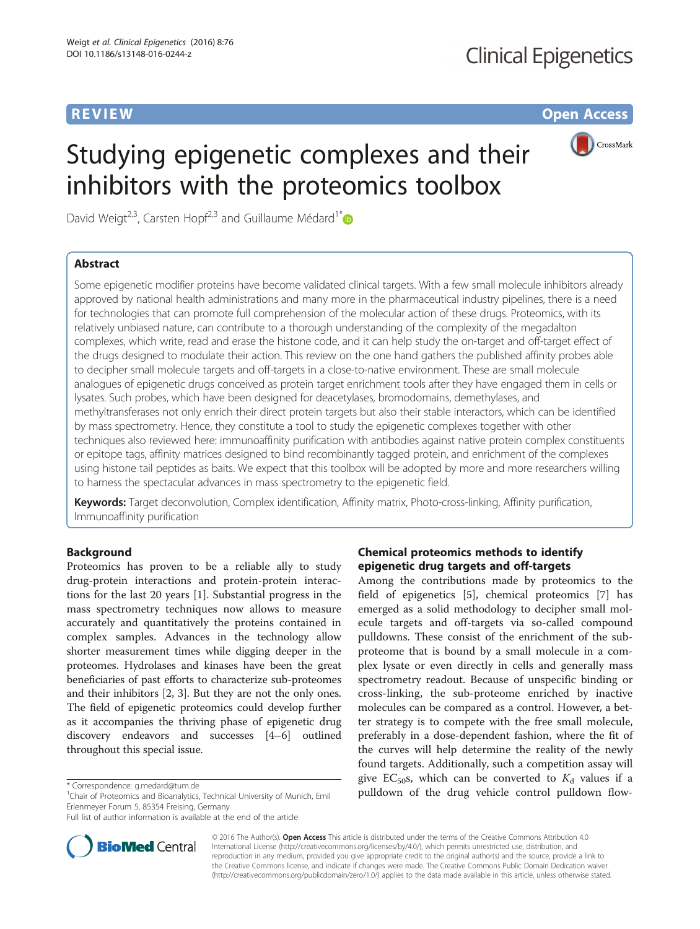**REVIEW CONSTRUCTION CONSTRUCTION CONSTRUCTS** 



# Studying epigenetic complexes and their inhibitors with the proteomics toolbox

David Weigt<sup>2,3</sup>, Carsten Hopf<sup>2,3</sup> and Guillaume Médard<sup>1\*</sup>

# Abstract

Some epigenetic modifier proteins have become validated clinical targets. With a few small molecule inhibitors already approved by national health administrations and many more in the pharmaceutical industry pipelines, there is a need for technologies that can promote full comprehension of the molecular action of these drugs. Proteomics, with its relatively unbiased nature, can contribute to a thorough understanding of the complexity of the megadalton complexes, which write, read and erase the histone code, and it can help study the on-target and off-target effect of the drugs designed to modulate their action. This review on the one hand gathers the published affinity probes able to decipher small molecule targets and off-targets in a close-to-native environment. These are small molecule analogues of epigenetic drugs conceived as protein target enrichment tools after they have engaged them in cells or lysates. Such probes, which have been designed for deacetylases, bromodomains, demethylases, and methyltransferases not only enrich their direct protein targets but also their stable interactors, which can be identified by mass spectrometry. Hence, they constitute a tool to study the epigenetic complexes together with other techniques also reviewed here: immunoaffinity purification with antibodies against native protein complex constituents or epitope tags, affinity matrices designed to bind recombinantly tagged protein, and enrichment of the complexes using histone tail peptides as baits. We expect that this toolbox will be adopted by more and more researchers willing to harness the spectacular advances in mass spectrometry to the epigenetic field.

Keywords: Target deconvolution, Complex identification, Affinity matrix, Photo-cross-linking, Affinity purification, Immunoaffinity purification

# Background

Proteomics has proven to be a reliable ally to study drug-protein interactions and protein-protein interactions for the last 20 years [[1\]](#page-12-0). Substantial progress in the mass spectrometry techniques now allows to measure accurately and quantitatively the proteins contained in complex samples. Advances in the technology allow shorter measurement times while digging deeper in the proteomes. Hydrolases and kinases have been the great beneficiaries of past efforts to characterize sub-proteomes and their inhibitors [\[2](#page-12-0), [3](#page-12-0)]. But they are not the only ones. The field of epigenetic proteomics could develop further as it accompanies the thriving phase of epigenetic drug discovery endeavors and successes [[4](#page-12-0)–[6](#page-12-0)] outlined throughout this special issue.

<sup>1</sup>Chair of Proteomics and Bioanalytics, Technical University of Munich, Emil Erlenmeyer Forum 5, 85354 Freising, Germany



Among the contributions made by proteomics to the field of epigenetics [[5\]](#page-12-0), chemical proteomics [[7\]](#page-12-0) has emerged as a solid methodology to decipher small molecule targets and off-targets via so-called compound pulldowns. These consist of the enrichment of the subproteome that is bound by a small molecule in a complex lysate or even directly in cells and generally mass spectrometry readout. Because of unspecific binding or cross-linking, the sub-proteome enriched by inactive molecules can be compared as a control. However, a better strategy is to compete with the free small molecule, preferably in a dose-dependent fashion, where the fit of the curves will help determine the reality of the newly found targets. Additionally, such a competition assay will give EC<sub>50</sub>s, which can be converted to  $K_d$  values if a \* Correspondence: [g.medard@tum.de](mailto:g.medard@tum.de)<br>
<sup>1</sup>Chair of Proteomics and Bioanalytics Technical University of Munich Emil **1996 pulldown of the drug vehicle control pulldown flow-**



© 2016 The Author(s). Open Access This article is distributed under the terms of the Creative Commons Attribution 4.0 International License [\(http://creativecommons.org/licenses/by/4.0/](http://creativecommons.org/licenses/by/4.0/)), which permits unrestricted use, distribution, and reproduction in any medium, provided you give appropriate credit to the original author(s) and the source, provide a link to the Creative Commons license, and indicate if changes were made. The Creative Commons Public Domain Dedication waiver [\(http://creativecommons.org/publicdomain/zero/1.0/](http://creativecommons.org/publicdomain/zero/1.0/)) applies to the data made available in this article, unless otherwise stated.

Full list of author information is available at the end of the article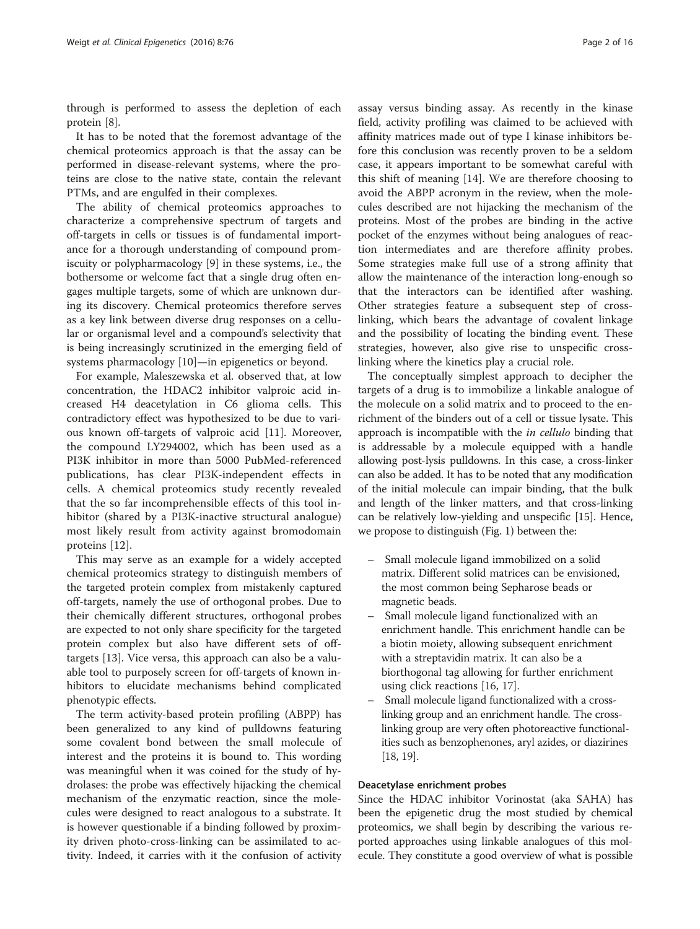through is performed to assess the depletion of each protein [\[8](#page-12-0)].

It has to be noted that the foremost advantage of the chemical proteomics approach is that the assay can be performed in disease-relevant systems, where the proteins are close to the native state, contain the relevant PTMs, and are engulfed in their complexes.

The ability of chemical proteomics approaches to characterize a comprehensive spectrum of targets and off-targets in cells or tissues is of fundamental importance for a thorough understanding of compound promiscuity or polypharmacology [\[9](#page-12-0)] in these systems, i.e., the bothersome or welcome fact that a single drug often engages multiple targets, some of which are unknown during its discovery. Chemical proteomics therefore serves as a key link between diverse drug responses on a cellular or organismal level and a compound's selectivity that is being increasingly scrutinized in the emerging field of systems pharmacology [[10\]](#page-12-0)—in epigenetics or beyond.

For example, Maleszewska et al. observed that, at low concentration, the HDAC2 inhibitor valproic acid increased H4 deacetylation in C6 glioma cells. This contradictory effect was hypothesized to be due to various known off-targets of valproic acid [[11](#page-12-0)]. Moreover, the compound LY294002, which has been used as a PI3K inhibitor in more than 5000 PubMed-referenced publications, has clear PI3K-independent effects in cells. A chemical proteomics study recently revealed that the so far incomprehensible effects of this tool inhibitor (shared by a PI3K-inactive structural analogue) most likely result from activity against bromodomain proteins [[12\]](#page-12-0).

This may serve as an example for a widely accepted chemical proteomics strategy to distinguish members of the targeted protein complex from mistakenly captured off-targets, namely the use of orthogonal probes. Due to their chemically different structures, orthogonal probes are expected to not only share specificity for the targeted protein complex but also have different sets of offtargets [\[13](#page-13-0)]. Vice versa, this approach can also be a valuable tool to purposely screen for off-targets of known inhibitors to elucidate mechanisms behind complicated phenotypic effects.

The term activity-based protein profiling (ABPP) has been generalized to any kind of pulldowns featuring some covalent bond between the small molecule of interest and the proteins it is bound to. This wording was meaningful when it was coined for the study of hydrolases: the probe was effectively hijacking the chemical mechanism of the enzymatic reaction, since the molecules were designed to react analogous to a substrate. It is however questionable if a binding followed by proximity driven photo-cross-linking can be assimilated to activity. Indeed, it carries with it the confusion of activity assay versus binding assay. As recently in the kinase field, activity profiling was claimed to be achieved with affinity matrices made out of type I kinase inhibitors before this conclusion was recently proven to be a seldom case, it appears important to be somewhat careful with this shift of meaning [\[14](#page-13-0)]. We are therefore choosing to avoid the ABPP acronym in the review, when the molecules described are not hijacking the mechanism of the proteins. Most of the probes are binding in the active pocket of the enzymes without being analogues of reaction intermediates and are therefore affinity probes. Some strategies make full use of a strong affinity that allow the maintenance of the interaction long-enough so that the interactors can be identified after washing. Other strategies feature a subsequent step of crosslinking, which bears the advantage of covalent linkage and the possibility of locating the binding event. These strategies, however, also give rise to unspecific crosslinking where the kinetics play a crucial role.

The conceptually simplest approach to decipher the targets of a drug is to immobilize a linkable analogue of the molecule on a solid matrix and to proceed to the enrichment of the binders out of a cell or tissue lysate. This approach is incompatible with the *in cellulo* binding that is addressable by a molecule equipped with a handle allowing post-lysis pulldowns. In this case, a cross-linker can also be added. It has to be noted that any modification of the initial molecule can impair binding, that the bulk and length of the linker matters, and that cross-linking can be relatively low-yielding and unspecific [\[15\]](#page-13-0). Hence, we propose to distinguish (Fig. [1](#page-2-0)) between the:

- Small molecule ligand immobilized on a solid matrix. Different solid matrices can be envisioned, the most common being Sepharose beads or magnetic beads.
- Small molecule ligand functionalized with an enrichment handle. This enrichment handle can be a biotin moiety, allowing subsequent enrichment with a streptavidin matrix. It can also be a biorthogonal tag allowing for further enrichment using click reactions [[16](#page-13-0), [17\]](#page-13-0).
- Small molecule ligand functionalized with a crosslinking group and an enrichment handle. The crosslinking group are very often photoreactive functionalities such as benzophenones, aryl azides, or diazirines [[18](#page-13-0), [19](#page-13-0)].

#### Deacetylase enrichment probes

Since the HDAC inhibitor Vorinostat (aka SAHA) has been the epigenetic drug the most studied by chemical proteomics, we shall begin by describing the various reported approaches using linkable analogues of this molecule. They constitute a good overview of what is possible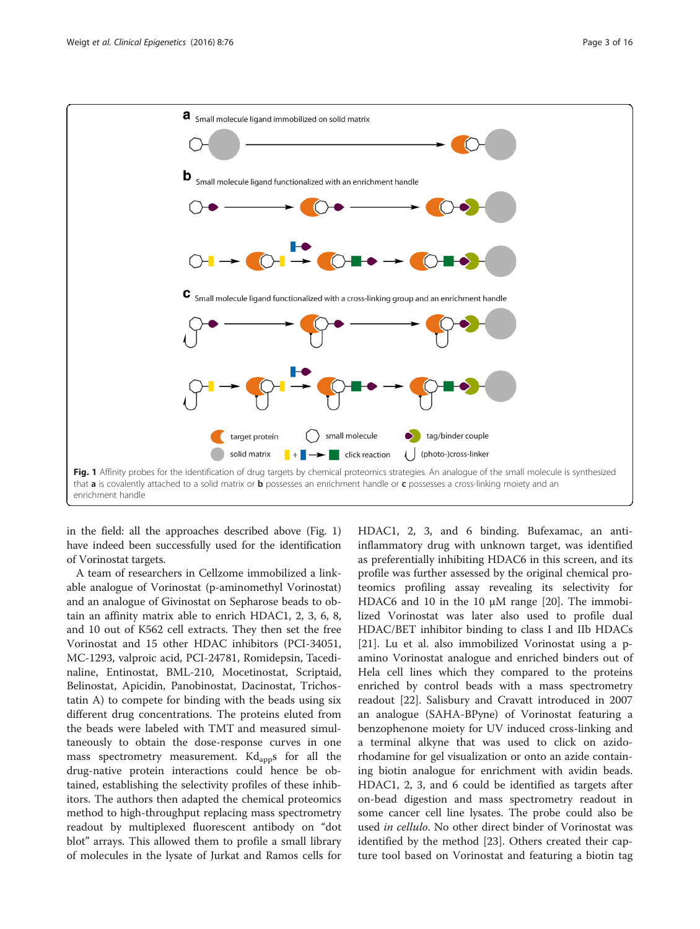<span id="page-2-0"></span>

in the field: all the approaches described above (Fig. 1) have indeed been successfully used for the identification of Vorinostat targets.

A team of researchers in Cellzome immobilized a linkable analogue of Vorinostat (p-aminomethyl Vorinostat) and an analogue of Givinostat on Sepharose beads to obtain an affinity matrix able to enrich HDAC1, 2, 3, 6, 8, and 10 out of K562 cell extracts. They then set the free Vorinostat and 15 other HDAC inhibitors (PCI-34051, MC-1293, valproic acid, PCI-24781, Romidepsin, Tacedinaline, Entinostat, BML-210, Mocetinostat, Scriptaid, Belinostat, Apicidin, Panobinostat, Dacinostat, Trichostatin A) to compete for binding with the beads using six different drug concentrations. The proteins eluted from the beads were labeled with TMT and measured simultaneously to obtain the dose-response curves in one mass spectrometry measurement.  $Kd_{\text{app}}s$  for all the drug-native protein interactions could hence be obtained, establishing the selectivity profiles of these inhibitors. The authors then adapted the chemical proteomics method to high-throughput replacing mass spectrometry readout by multiplexed fluorescent antibody on "dot blot" arrays. This allowed them to profile a small library of molecules in the lysate of Jurkat and Ramos cells for HDAC1, 2, 3, and 6 binding. Bufexamac, an antiinflammatory drug with unknown target, was identified as preferentially inhibiting HDAC6 in this screen, and its profile was further assessed by the original chemical proteomics profiling assay revealing its selectivity for HDAC6 and 10 in the 10 μM range [\[20](#page-13-0)]. The immobilized Vorinostat was later also used to profile dual HDAC/BET inhibitor binding to class I and IIb HDACs [[21\]](#page-13-0). Lu et al. also immobilized Vorinostat using a pamino Vorinostat analogue and enriched binders out of Hela cell lines which they compared to the proteins enriched by control beads with a mass spectrometry readout [[22](#page-13-0)]. Salisbury and Cravatt introduced in 2007 an analogue (SAHA-BPyne) of Vorinostat featuring a benzophenone moiety for UV induced cross-linking and a terminal alkyne that was used to click on azidorhodamine for gel visualization or onto an azide containing biotin analogue for enrichment with avidin beads. HDAC1, 2, 3, and 6 could be identified as targets after on-bead digestion and mass spectrometry readout in some cancer cell line lysates. The probe could also be used in cellulo. No other direct binder of Vorinostat was identified by the method [[23](#page-13-0)]. Others created their capture tool based on Vorinostat and featuring a biotin tag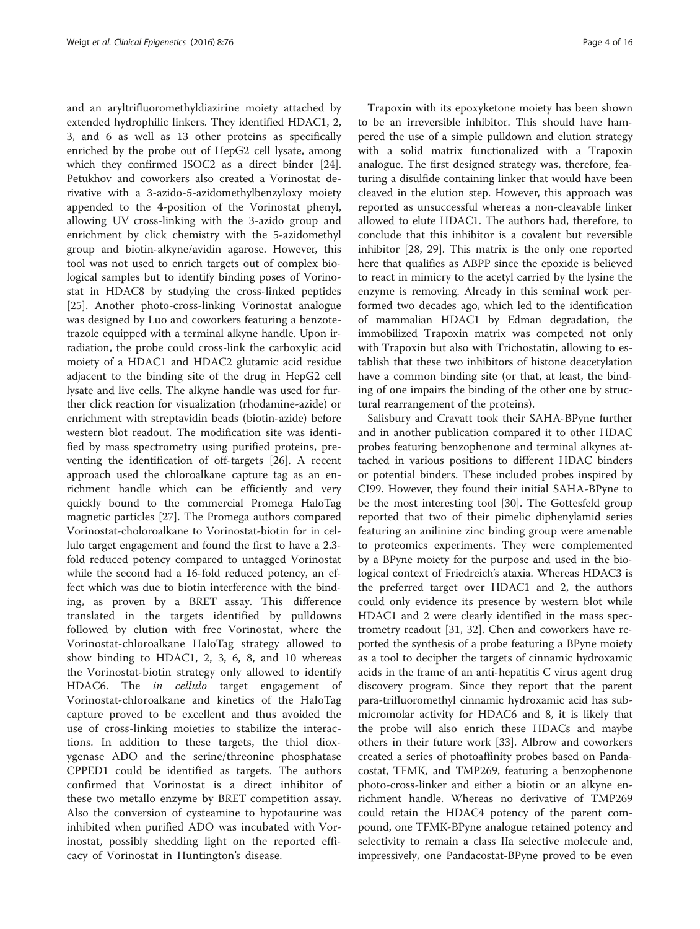and an aryltrifluoromethyldiazirine moiety attached by extended hydrophilic linkers. They identified HDAC1, 2, 3, and 6 as well as 13 other proteins as specifically enriched by the probe out of HepG2 cell lysate, among which they confirmed ISOC2 as a direct binder [\[24](#page-13-0)]. Petukhov and coworkers also created a Vorinostat derivative with a 3-azido-5-azidomethylbenzyloxy moiety appended to the 4-position of the Vorinostat phenyl, allowing UV cross-linking with the 3-azido group and enrichment by click chemistry with the 5-azidomethyl group and biotin-alkyne/avidin agarose. However, this tool was not used to enrich targets out of complex biological samples but to identify binding poses of Vorinostat in HDAC8 by studying the cross-linked peptides [[25\]](#page-13-0). Another photo-cross-linking Vorinostat analogue was designed by Luo and coworkers featuring a benzotetrazole equipped with a terminal alkyne handle. Upon irradiation, the probe could cross-link the carboxylic acid moiety of a HDAC1 and HDAC2 glutamic acid residue adjacent to the binding site of the drug in HepG2 cell lysate and live cells. The alkyne handle was used for further click reaction for visualization (rhodamine-azide) or enrichment with streptavidin beads (biotin-azide) before western blot readout. The modification site was identified by mass spectrometry using purified proteins, preventing the identification of off-targets [\[26](#page-13-0)]. A recent approach used the chloroalkane capture tag as an enrichment handle which can be efficiently and very quickly bound to the commercial Promega HaloTag magnetic particles [\[27\]](#page-13-0). The Promega authors compared Vorinostat-choloroalkane to Vorinostat-biotin for in cellulo target engagement and found the first to have a 2.3 fold reduced potency compared to untagged Vorinostat while the second had a 16-fold reduced potency, an effect which was due to biotin interference with the binding, as proven by a BRET assay. This difference translated in the targets identified by pulldowns followed by elution with free Vorinostat, where the Vorinostat-chloroalkane HaloTag strategy allowed to show binding to HDAC1, 2, 3, 6, 8, and 10 whereas the Vorinostat-biotin strategy only allowed to identify HDAC6. The in cellulo target engagement of Vorinostat-chloroalkane and kinetics of the HaloTag capture proved to be excellent and thus avoided the use of cross-linking moieties to stabilize the interactions. In addition to these targets, the thiol dioxygenase ADO and the serine/threonine phosphatase CPPED1 could be identified as targets. The authors confirmed that Vorinostat is a direct inhibitor of these two metallo enzyme by BRET competition assay. Also the conversion of cysteamine to hypotaurine was inhibited when purified ADO was incubated with Vorinostat, possibly shedding light on the reported efficacy of Vorinostat in Huntington's disease.

Trapoxin with its epoxyketone moiety has been shown to be an irreversible inhibitor. This should have hampered the use of a simple pulldown and elution strategy with a solid matrix functionalized with a Trapoxin analogue. The first designed strategy was, therefore, featuring a disulfide containing linker that would have been cleaved in the elution step. However, this approach was reported as unsuccessful whereas a non-cleavable linker allowed to elute HDAC1. The authors had, therefore, to conclude that this inhibitor is a covalent but reversible inhibitor [\[28](#page-13-0), [29](#page-13-0)]. This matrix is the only one reported here that qualifies as ABPP since the epoxide is believed to react in mimicry to the acetyl carried by the lysine the enzyme is removing. Already in this seminal work performed two decades ago, which led to the identification of mammalian HDAC1 by Edman degradation, the immobilized Trapoxin matrix was competed not only with Trapoxin but also with Trichostatin, allowing to establish that these two inhibitors of histone deacetylation have a common binding site (or that, at least, the binding of one impairs the binding of the other one by structural rearrangement of the proteins).

Salisbury and Cravatt took their SAHA-BPyne further and in another publication compared it to other HDAC probes featuring benzophenone and terminal alkynes attached in various positions to different HDAC binders or potential binders. These included probes inspired by CI99. However, they found their initial SAHA-BPyne to be the most interesting tool [[30](#page-13-0)]. The Gottesfeld group reported that two of their pimelic diphenylamid series featuring an anilinine zinc binding group were amenable to proteomics experiments. They were complemented by a BPyne moiety for the purpose and used in the biological context of Friedreich's ataxia. Whereas HDAC3 is the preferred target over HDAC1 and 2, the authors could only evidence its presence by western blot while HDAC1 and 2 were clearly identified in the mass spectrometry readout [[31, 32](#page-13-0)]. Chen and coworkers have reported the synthesis of a probe featuring a BPyne moiety as a tool to decipher the targets of cinnamic hydroxamic acids in the frame of an anti-hepatitis C virus agent drug discovery program. Since they report that the parent para-trifluoromethyl cinnamic hydroxamic acid has submicromolar activity for HDAC6 and 8, it is likely that the probe will also enrich these HDACs and maybe others in their future work [[33\]](#page-13-0). Albrow and coworkers created a series of photoaffinity probes based on Pandacostat, TFMK, and TMP269, featuring a benzophenone photo-cross-linker and either a biotin or an alkyne enrichment handle. Whereas no derivative of TMP269 could retain the HDAC4 potency of the parent compound, one TFMK-BPyne analogue retained potency and selectivity to remain a class IIa selective molecule and, impressively, one Pandacostat-BPyne proved to be even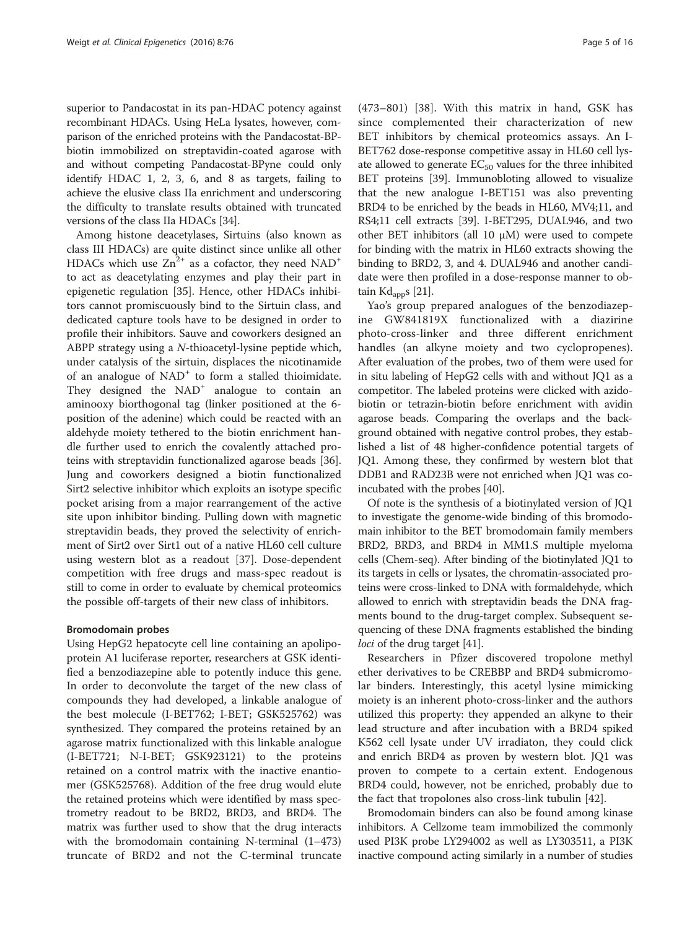superior to Pandacostat in its pan-HDAC potency against recombinant HDACs. Using HeLa lysates, however, comparison of the enriched proteins with the Pandacostat-BPbiotin immobilized on streptavidin-coated agarose with and without competing Pandacostat-BPyne could only identify HDAC 1, 2, 3, 6, and 8 as targets, failing to achieve the elusive class IIa enrichment and underscoring the difficulty to translate results obtained with truncated versions of the class IIa HDACs [\[34\]](#page-13-0).

Among histone deacetylases, Sirtuins (also known as class III HDACs) are quite distinct since unlike all other HDACs which use  $Zn^{2+}$  as a cofactor, they need NAD<sup>+</sup> to act as deacetylating enzymes and play their part in epigenetic regulation [\[35](#page-13-0)]. Hence, other HDACs inhibitors cannot promiscuously bind to the Sirtuin class, and dedicated capture tools have to be designed in order to profile their inhibitors. Sauve and coworkers designed an ABPP strategy using a N-thioacetyl-lysine peptide which, under catalysis of the sirtuin, displaces the nicotinamide of an analogue of NAD<sup>+</sup> to form a stalled thioimidate. They designed the  $NAD<sup>+</sup>$  analogue to contain an aminooxy biorthogonal tag (linker positioned at the 6 position of the adenine) which could be reacted with an aldehyde moiety tethered to the biotin enrichment handle further used to enrich the covalently attached proteins with streptavidin functionalized agarose beads [\[36](#page-13-0)]. Jung and coworkers designed a biotin functionalized Sirt2 selective inhibitor which exploits an isotype specific pocket arising from a major rearrangement of the active site upon inhibitor binding. Pulling down with magnetic streptavidin beads, they proved the selectivity of enrichment of Sirt2 over Sirt1 out of a native HL60 cell culture using western blot as a readout [\[37](#page-13-0)]. Dose-dependent competition with free drugs and mass-spec readout is still to come in order to evaluate by chemical proteomics the possible off-targets of their new class of inhibitors.

#### Bromodomain probes

Using HepG2 hepatocyte cell line containing an apolipoprotein A1 luciferase reporter, researchers at GSK identified a benzodiazepine able to potently induce this gene. In order to deconvolute the target of the new class of compounds they had developed, a linkable analogue of the best molecule (I-BET762; I-BET; GSK525762) was synthesized. They compared the proteins retained by an agarose matrix functionalized with this linkable analogue (I-BET721; N-I-BET; GSK923121) to the proteins retained on a control matrix with the inactive enantiomer (GSK525768). Addition of the free drug would elute the retained proteins which were identified by mass spectrometry readout to be BRD2, BRD3, and BRD4. The matrix was further used to show that the drug interacts with the bromodomain containing N-terminal (1–473) truncate of BRD2 and not the C-terminal truncate

(473–801) [\[38](#page-13-0)]. With this matrix in hand, GSK has since complemented their characterization of new BET inhibitors by chemical proteomics assays. An I-BET762 dose-response competitive assay in HL60 cell lysate allowed to generate  $EC_{50}$  values for the three inhibited BET proteins [\[39\]](#page-13-0). Immunobloting allowed to visualize that the new analogue I-BET151 was also preventing BRD4 to be enriched by the beads in HL60, MV4;11, and RS4;11 cell extracts [\[39\]](#page-13-0). I-BET295, DUAL946, and two other BET inhibitors (all 10 μM) were used to compete for binding with the matrix in HL60 extracts showing the binding to BRD2, 3, and 4. DUAL946 and another candidate were then profiled in a dose-response manner to ob-tain Kd<sub>app</sub>s [\[21](#page-13-0)].

Yao's group prepared analogues of the benzodiazepine GW841819X functionalized with a diazirine photo-cross-linker and three different enrichment handles (an alkyne moiety and two cyclopropenes). After evaluation of the probes, two of them were used for in situ labeling of HepG2 cells with and without JQ1 as a competitor. The labeled proteins were clicked with azidobiotin or tetrazin-biotin before enrichment with avidin agarose beads. Comparing the overlaps and the background obtained with negative control probes, they established a list of 48 higher-confidence potential targets of JQ1. Among these, they confirmed by western blot that DDB1 and RAD23B were not enriched when JQ1 was coincubated with the probes [\[40](#page-13-0)].

Of note is the synthesis of a biotinylated version of JQ1 to investigate the genome-wide binding of this bromodomain inhibitor to the BET bromodomain family members BRD2, BRD3, and BRD4 in MM1.S multiple myeloma cells (Chem-seq). After binding of the biotinylated JQ1 to its targets in cells or lysates, the chromatin-associated proteins were cross-linked to DNA with formaldehyde, which allowed to enrich with streptavidin beads the DNA fragments bound to the drug-target complex. Subsequent sequencing of these DNA fragments established the binding loci of the drug target [[41](#page-13-0)].

Researchers in Pfizer discovered tropolone methyl ether derivatives to be CREBBP and BRD4 submicromolar binders. Interestingly, this acetyl lysine mimicking moiety is an inherent photo-cross-linker and the authors utilized this property: they appended an alkyne to their lead structure and after incubation with a BRD4 spiked K562 cell lysate under UV irradiaton, they could click and enrich BRD4 as proven by western blot. JQ1 was proven to compete to a certain extent. Endogenous BRD4 could, however, not be enriched, probably due to the fact that tropolones also cross-link tubulin [[42\]](#page-13-0).

Bromodomain binders can also be found among kinase inhibitors. A Cellzome team immobilized the commonly used PI3K probe LY294002 as well as LY303511, a PI3K inactive compound acting similarly in a number of studies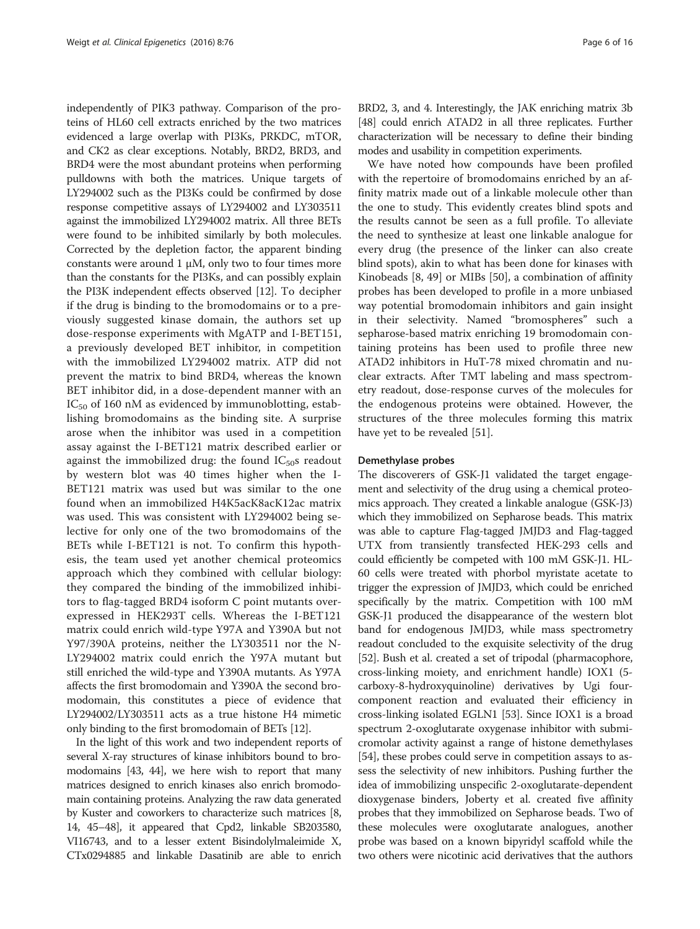independently of PIK3 pathway. Comparison of the proteins of HL60 cell extracts enriched by the two matrices evidenced a large overlap with PI3Ks, PRKDC, mTOR, and CK2 as clear exceptions. Notably, BRD2, BRD3, and BRD4 were the most abundant proteins when performing pulldowns with both the matrices. Unique targets of LY294002 such as the PI3Ks could be confirmed by dose response competitive assays of LY294002 and LY303511 against the immobilized LY294002 matrix. All three BETs were found to be inhibited similarly by both molecules. Corrected by the depletion factor, the apparent binding constants were around 1  $\mu$ M, only two to four times more than the constants for the PI3Ks, and can possibly explain the PI3K independent effects observed [[12](#page-12-0)]. To decipher if the drug is binding to the bromodomains or to a previously suggested kinase domain, the authors set up dose-response experiments with MgATP and I-BET151, a previously developed BET inhibitor, in competition with the immobilized LY294002 matrix. ATP did not prevent the matrix to bind BRD4, whereas the known BET inhibitor did, in a dose-dependent manner with an  $IC_{50}$  of 160 nM as evidenced by immunoblotting, establishing bromodomains as the binding site. A surprise arose when the inhibitor was used in a competition assay against the I-BET121 matrix described earlier or against the immobilized drug: the found  $IC_{50}$ s readout by western blot was 40 times higher when the I-BET121 matrix was used but was similar to the one found when an immobilized H4K5acK8acK12ac matrix was used. This was consistent with LY294002 being selective for only one of the two bromodomains of the BETs while I-BET121 is not. To confirm this hypothesis, the team used yet another chemical proteomics approach which they combined with cellular biology: they compared the binding of the immobilized inhibitors to flag-tagged BRD4 isoform C point mutants overexpressed in HEK293T cells. Whereas the I-BET121 matrix could enrich wild-type Y97A and Y390A but not Y97/390A proteins, neither the LY303511 nor the N-LY294002 matrix could enrich the Y97A mutant but still enriched the wild-type and Y390A mutants. As Y97A affects the first bromodomain and Y390A the second bromodomain, this constitutes a piece of evidence that LY294002/LY303511 acts as a true histone H4 mimetic only binding to the first bromodomain of BETs [\[12\]](#page-12-0).

In the light of this work and two independent reports of several X-ray structures of kinase inhibitors bound to bromodomains [[43](#page-13-0), [44\]](#page-13-0), we here wish to report that many matrices designed to enrich kinases also enrich bromodomain containing proteins. Analyzing the raw data generated by Kuster and coworkers to characterize such matrices [[8](#page-12-0), [14](#page-13-0), [45](#page-13-0)–[48\]](#page-13-0), it appeared that Cpd2, linkable SB203580, VI16743, and to a lesser extent Bisindolylmaleimide X, CTx0294885 and linkable Dasatinib are able to enrich

BRD2, 3, and 4. Interestingly, the JAK enriching matrix 3b [[48](#page-13-0)] could enrich ATAD2 in all three replicates. Further characterization will be necessary to define their binding modes and usability in competition experiments.

We have noted how compounds have been profiled with the repertoire of bromodomains enriched by an affinity matrix made out of a linkable molecule other than the one to study. This evidently creates blind spots and the results cannot be seen as a full profile. To alleviate the need to synthesize at least one linkable analogue for every drug (the presence of the linker can also create blind spots), akin to what has been done for kinases with Kinobeads [\[8](#page-12-0), [49](#page-13-0)] or MIBs [\[50](#page-13-0)], a combination of affinity probes has been developed to profile in a more unbiased way potential bromodomain inhibitors and gain insight in their selectivity. Named "bromospheres" such a sepharose-based matrix enriching 19 bromodomain containing proteins has been used to profile three new ATAD2 inhibitors in HuT-78 mixed chromatin and nuclear extracts. After TMT labeling and mass spectrometry readout, dose-response curves of the molecules for the endogenous proteins were obtained. However, the structures of the three molecules forming this matrix have yet to be revealed [[51](#page-13-0)].

#### Demethylase probes

The discoverers of GSK-J1 validated the target engagement and selectivity of the drug using a chemical proteomics approach. They created a linkable analogue (GSK-J3) which they immobilized on Sepharose beads. This matrix was able to capture Flag-tagged JMJD3 and Flag-tagged UTX from transiently transfected HEK-293 cells and could efficiently be competed with 100 mM GSK-J1. HL-60 cells were treated with phorbol myristate acetate to trigger the expression of JMJD3, which could be enriched specifically by the matrix. Competition with 100 mM GSK-J1 produced the disappearance of the western blot band for endogenous JMJD3, while mass spectrometry readout concluded to the exquisite selectivity of the drug [[52](#page-13-0)]. Bush et al. created a set of tripodal (pharmacophore, cross-linking moiety, and enrichment handle) IOX1 (5 carboxy-8-hydroxyquinoline) derivatives by Ugi fourcomponent reaction and evaluated their efficiency in cross-linking isolated EGLN1 [[53\]](#page-13-0). Since IOX1 is a broad spectrum 2-oxoglutarate oxygenase inhibitor with submicromolar activity against a range of histone demethylases [[54](#page-13-0)], these probes could serve in competition assays to assess the selectivity of new inhibitors. Pushing further the idea of immobilizing unspecific 2-oxoglutarate-dependent dioxygenase binders, Joberty et al. created five affinity probes that they immobilized on Sepharose beads. Two of these molecules were oxoglutarate analogues, another probe was based on a known bipyridyl scaffold while the two others were nicotinic acid derivatives that the authors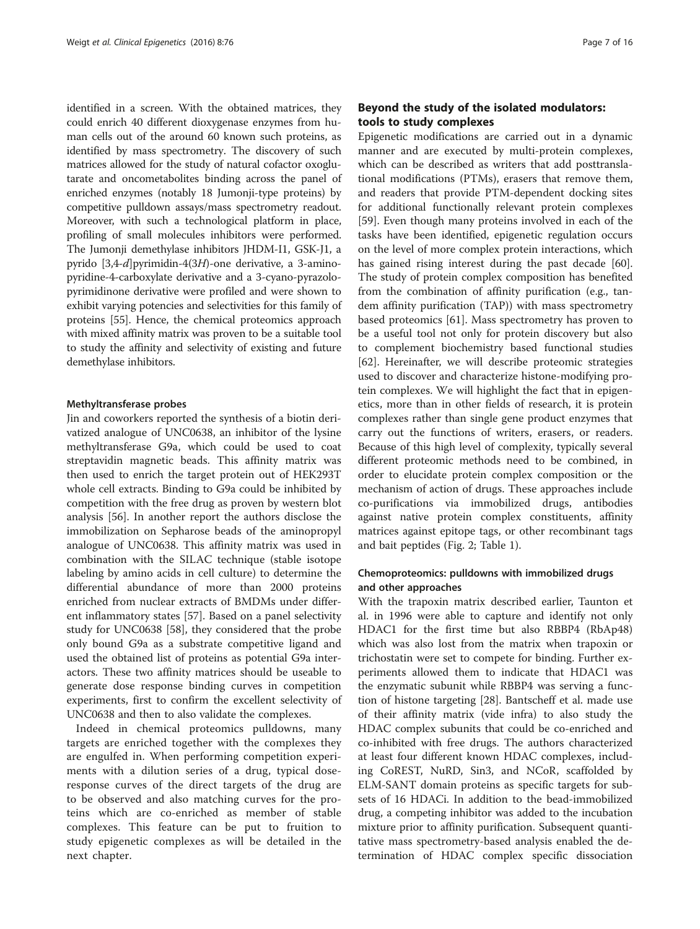identified in a screen. With the obtained matrices, they could enrich 40 different dioxygenase enzymes from human cells out of the around 60 known such proteins, as identified by mass spectrometry. The discovery of such matrices allowed for the study of natural cofactor oxoglutarate and oncometabolites binding across the panel of enriched enzymes (notably 18 Jumonji-type proteins) by competitive pulldown assays/mass spectrometry readout. Moreover, with such a technological platform in place, profiling of small molecules inhibitors were performed. The Jumonji demethylase inhibitors JHDM-I1, GSK-J1, a pyrido [3,4-d]pyrimidin-4(3H)-one derivative, a 3-aminopyridine-4-carboxylate derivative and a 3-cyano-pyrazolopyrimidinone derivative were profiled and were shown to exhibit varying potencies and selectivities for this family of proteins [[55](#page-13-0)]. Hence, the chemical proteomics approach with mixed affinity matrix was proven to be a suitable tool to study the affinity and selectivity of existing and future demethylase inhibitors.

#### Methyltransferase probes

Jin and coworkers reported the synthesis of a biotin derivatized analogue of UNC0638, an inhibitor of the lysine methyltransferase G9a, which could be used to coat streptavidin magnetic beads. This affinity matrix was then used to enrich the target protein out of HEK293T whole cell extracts. Binding to G9a could be inhibited by competition with the free drug as proven by western blot analysis [[56\]](#page-13-0). In another report the authors disclose the immobilization on Sepharose beads of the aminopropyl analogue of UNC0638. This affinity matrix was used in combination with the SILAC technique (stable isotope labeling by amino acids in cell culture) to determine the differential abundance of more than 2000 proteins enriched from nuclear extracts of BMDMs under different inflammatory states [[57](#page-14-0)]. Based on a panel selectivity study for UNC0638 [[58](#page-14-0)], they considered that the probe only bound G9a as a substrate competitive ligand and used the obtained list of proteins as potential G9a interactors. These two affinity matrices should be useable to generate dose response binding curves in competition experiments, first to confirm the excellent selectivity of UNC0638 and then to also validate the complexes.

Indeed in chemical proteomics pulldowns, many targets are enriched together with the complexes they are engulfed in. When performing competition experiments with a dilution series of a drug, typical doseresponse curves of the direct targets of the drug are to be observed and also matching curves for the proteins which are co-enriched as member of stable complexes. This feature can be put to fruition to study epigenetic complexes as will be detailed in the next chapter.

# Beyond the study of the isolated modulators: tools to study complexes

Epigenetic modifications are carried out in a dynamic manner and are executed by multi-protein complexes, which can be described as writers that add posttranslational modifications (PTMs), erasers that remove them, and readers that provide PTM-dependent docking sites for additional functionally relevant protein complexes [[59\]](#page-14-0). Even though many proteins involved in each of the tasks have been identified, epigenetic regulation occurs on the level of more complex protein interactions, which has gained rising interest during the past decade [\[60](#page-14-0)]. The study of protein complex composition has benefited from the combination of affinity purification (e.g., tandem affinity purification (TAP)) with mass spectrometry based proteomics [[61\]](#page-14-0). Mass spectrometry has proven to be a useful tool not only for protein discovery but also to complement biochemistry based functional studies [[62\]](#page-14-0). Hereinafter, we will describe proteomic strategies used to discover and characterize histone-modifying protein complexes. We will highlight the fact that in epigenetics, more than in other fields of research, it is protein complexes rather than single gene product enzymes that carry out the functions of writers, erasers, or readers. Because of this high level of complexity, typically several different proteomic methods need to be combined, in order to elucidate protein complex composition or the mechanism of action of drugs. These approaches include co-purifications via immobilized drugs, antibodies against native protein complex constituents, affinity matrices against epitope tags, or other recombinant tags and bait peptides (Fig. [2](#page-7-0); Table [1](#page-7-0)).

# Chemoproteomics: pulldowns with immobilized drugs and other approaches

With the trapoxin matrix described earlier, Taunton et al. in 1996 were able to capture and identify not only HDAC1 for the first time but also RBBP4 (RbAp48) which was also lost from the matrix when trapoxin or trichostatin were set to compete for binding. Further experiments allowed them to indicate that HDAC1 was the enzymatic subunit while RBBP4 was serving a function of histone targeting [[28\]](#page-13-0). Bantscheff et al. made use of their affinity matrix (vide infra) to also study the HDAC complex subunits that could be co-enriched and co-inhibited with free drugs. The authors characterized at least four different known HDAC complexes, including CoREST, NuRD, Sin3, and NCoR, scaffolded by ELM-SANT domain proteins as specific targets for subsets of 16 HDACi. In addition to the bead-immobilized drug, a competing inhibitor was added to the incubation mixture prior to affinity purification. Subsequent quantitative mass spectrometry-based analysis enabled the determination of HDAC complex specific dissociation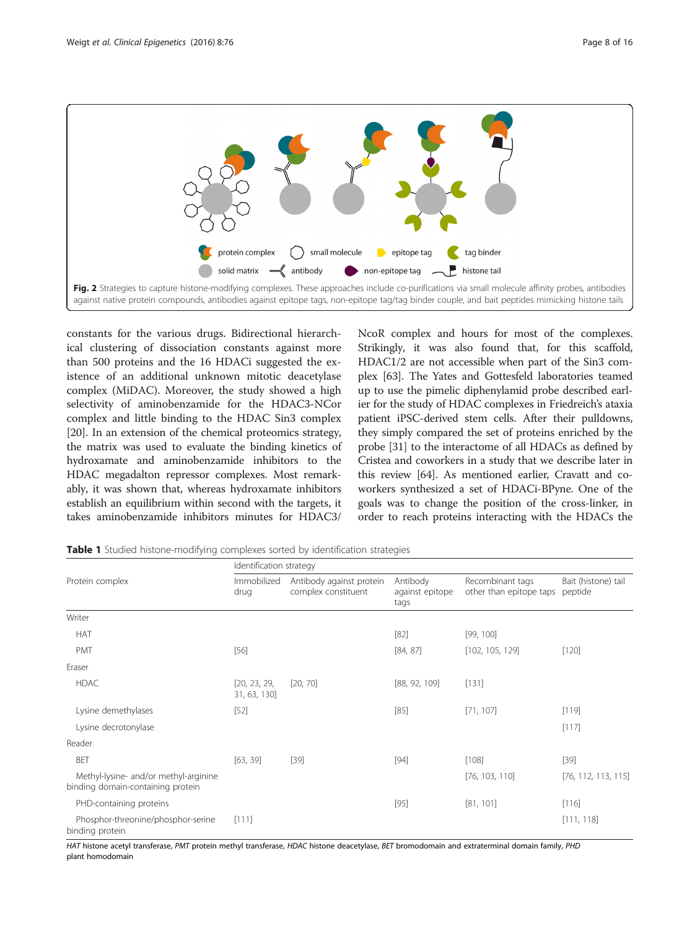<span id="page-7-0"></span>

constants for the various drugs. Bidirectional hierarchical clustering of dissociation constants against more than 500 proteins and the 16 HDACi suggested the existence of an additional unknown mitotic deacetylase complex (MiDAC). Moreover, the study showed a high selectivity of aminobenzamide for the HDAC3-NCor complex and little binding to the HDAC Sin3 complex [[20\]](#page-13-0). In an extension of the chemical proteomics strategy, the matrix was used to evaluate the binding kinetics of hydroxamate and aminobenzamide inhibitors to the HDAC megadalton repressor complexes. Most remarkably, it was shown that, whereas hydroxamate inhibitors establish an equilibrium within second with the targets, it takes aminobenzamide inhibitors minutes for HDAC3/ NcoR complex and hours for most of the complexes. Strikingly, it was also found that, for this scaffold, HDAC1/2 are not accessible when part of the Sin3 complex [[63\]](#page-14-0). The Yates and Gottesfeld laboratories teamed up to use the pimelic diphenylamid probe described earlier for the study of HDAC complexes in Friedreich's ataxia patient iPSC-derived stem cells. After their pulldowns, they simply compared the set of proteins enriched by the probe [\[31\]](#page-13-0) to the interactome of all HDACs as defined by Cristea and coworkers in a study that we describe later in this review [[64](#page-14-0)]. As mentioned earlier, Cravatt and coworkers synthesized a set of HDACi-BPyne. One of the goals was to change the position of the cross-linker, in order to reach proteins interacting with the HDACs the

Table 1 Studied histone-modifying complexes sorted by identification strategies

| Protein complex                                                            | Identification strategy      |                                                 |                                     |                                             |                                |
|----------------------------------------------------------------------------|------------------------------|-------------------------------------------------|-------------------------------------|---------------------------------------------|--------------------------------|
|                                                                            | Immobilized<br>drug          | Antibody against protein<br>complex constituent | Antibody<br>against epitope<br>tags | Recombinant tags<br>other than epitope taps | Bait (histone) tail<br>peptide |
| Writer                                                                     |                              |                                                 |                                     |                                             |                                |
| <b>HAT</b>                                                                 |                              |                                                 | $[82]$                              | [99, 100]                                   |                                |
| <b>PMT</b>                                                                 | $[56]$                       |                                                 | [84, 87]                            | [102, 105, 129]                             | $[120]$                        |
| Eraser                                                                     |                              |                                                 |                                     |                                             |                                |
| <b>HDAC</b>                                                                | [20, 23, 29,<br>31, 63, 130] | [20, 70]                                        | [88, 92, 109]                       | [131]                                       |                                |
| Lysine demethylases                                                        | $[52]$                       |                                                 | $[85]$                              | [71, 107]                                   | [119]                          |
| Lysine decrotonylase                                                       |                              |                                                 |                                     |                                             | [117]                          |
| Reader                                                                     |                              |                                                 |                                     |                                             |                                |
| <b>BET</b>                                                                 | [63, 39]                     | $[39]$                                          | $[94]$                              | [108]                                       | $[39]$                         |
| Methyl-lysine- and/or methyl-arginine<br>binding domain-containing protein |                              |                                                 |                                     | [76, 103, 110]                              | [76, 112, 113, 115]            |
| PHD-containing proteins                                                    |                              |                                                 | $[95]$                              | [81, 101]                                   | [116]                          |
| Phosphor-threonine/phosphor-serine<br>binding protein                      | [111]                        |                                                 |                                     |                                             | [111, 118]                     |

HAT histone acetyl transferase, PMT protein methyl transferase, HDAC histone deacetylase, BET bromodomain and extraterminal domain family, PHD plant homodomain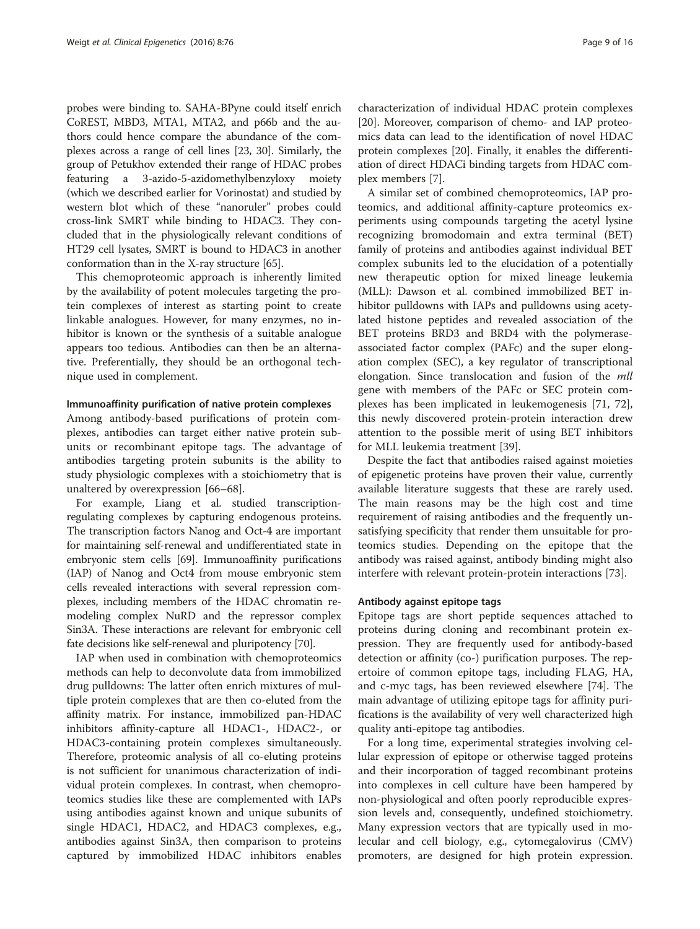probes were binding to. SAHA-BPyne could itself enrich CoREST, MBD3, MTA1, MTA2, and p66b and the authors could hence compare the abundance of the complexes across a range of cell lines [[23](#page-13-0), [30\]](#page-13-0). Similarly, the group of Petukhov extended their range of HDAC probes featuring a 3-azido-5-azidomethylbenzyloxy moiety (which we described earlier for Vorinostat) and studied by western blot which of these "nanoruler" probes could cross-link SMRT while binding to HDAC3. They concluded that in the physiologically relevant conditions of HT29 cell lysates, SMRT is bound to HDAC3 in another conformation than in the X-ray structure [\[65](#page-14-0)].

This chemoproteomic approach is inherently limited by the availability of potent molecules targeting the protein complexes of interest as starting point to create linkable analogues. However, for many enzymes, no inhibitor is known or the synthesis of a suitable analogue appears too tedious. Antibodies can then be an alternative. Preferentially, they should be an orthogonal technique used in complement.

#### Immunoaffinity purification of native protein complexes

Among antibody-based purifications of protein complexes, antibodies can target either native protein subunits or recombinant epitope tags. The advantage of antibodies targeting protein subunits is the ability to study physiologic complexes with a stoichiometry that is unaltered by overexpression [[66](#page-14-0)–[68](#page-14-0)].

For example, Liang et al. studied transcriptionregulating complexes by capturing endogenous proteins. The transcription factors Nanog and Oct-4 are important for maintaining self-renewal and undifferentiated state in embryonic stem cells [\[69](#page-14-0)]. Immunoaffinity purifications (IAP) of Nanog and Oct4 from mouse embryonic stem cells revealed interactions with several repression complexes, including members of the HDAC chromatin remodeling complex NuRD and the repressor complex Sin3A. These interactions are relevant for embryonic cell fate decisions like self-renewal and pluripotency [[70](#page-14-0)].

IAP when used in combination with chemoproteomics methods can help to deconvolute data from immobilized drug pulldowns: The latter often enrich mixtures of multiple protein complexes that are then co-eluted from the affinity matrix. For instance, immobilized pan-HDAC inhibitors affinity-capture all HDAC1-, HDAC2-, or HDAC3-containing protein complexes simultaneously. Therefore, proteomic analysis of all co-eluting proteins is not sufficient for unanimous characterization of individual protein complexes. In contrast, when chemoproteomics studies like these are complemented with IAPs using antibodies against known and unique subunits of single HDAC1, HDAC2, and HDAC3 complexes, e.g., antibodies against Sin3A, then comparison to proteins captured by immobilized HDAC inhibitors enables

characterization of individual HDAC protein complexes [[20\]](#page-13-0). Moreover, comparison of chemo- and IAP proteomics data can lead to the identification of novel HDAC protein complexes [\[20](#page-13-0)]. Finally, it enables the differentiation of direct HDACi binding targets from HDAC complex members [[7](#page-12-0)].

A similar set of combined chemoproteomics, IAP proteomics, and additional affinity-capture proteomics experiments using compounds targeting the acetyl lysine recognizing bromodomain and extra terminal (BET) family of proteins and antibodies against individual BET complex subunits led to the elucidation of a potentially new therapeutic option for mixed lineage leukemia (MLL): Dawson et al. combined immobilized BET inhibitor pulldowns with IAPs and pulldowns using acetylated histone peptides and revealed association of the BET proteins BRD3 and BRD4 with the polymeraseassociated factor complex (PAFc) and the super elongation complex (SEC), a key regulator of transcriptional elongation. Since translocation and fusion of the *mll* gene with members of the PAFc or SEC protein complexes has been implicated in leukemogenesis [\[71, 72](#page-14-0)], this newly discovered protein-protein interaction drew attention to the possible merit of using BET inhibitors for MLL leukemia treatment [\[39\]](#page-13-0).

Despite the fact that antibodies raised against moieties of epigenetic proteins have proven their value, currently available literature suggests that these are rarely used. The main reasons may be the high cost and time requirement of raising antibodies and the frequently unsatisfying specificity that render them unsuitable for proteomics studies. Depending on the epitope that the antibody was raised against, antibody binding might also interfere with relevant protein-protein interactions [\[73](#page-14-0)].

# Antibody against epitope tags

Epitope tags are short peptide sequences attached to proteins during cloning and recombinant protein expression. They are frequently used for antibody-based detection or affinity (co-) purification purposes. The repertoire of common epitope tags, including FLAG, HA, and c-myc tags, has been reviewed elsewhere [\[74](#page-14-0)]. The main advantage of utilizing epitope tags for affinity purifications is the availability of very well characterized high quality anti-epitope tag antibodies.

For a long time, experimental strategies involving cellular expression of epitope or otherwise tagged proteins and their incorporation of tagged recombinant proteins into complexes in cell culture have been hampered by non-physiological and often poorly reproducible expression levels and, consequently, undefined stoichiometry. Many expression vectors that are typically used in molecular and cell biology, e.g., cytomegalovirus (CMV) promoters, are designed for high protein expression.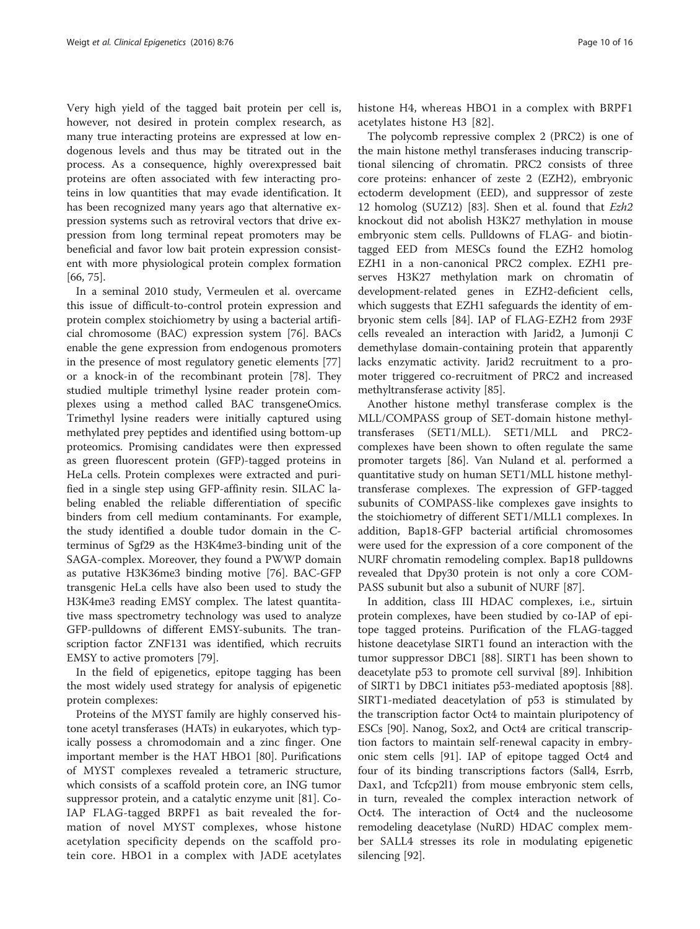Very high yield of the tagged bait protein per cell is, however, not desired in protein complex research, as many true interacting proteins are expressed at low endogenous levels and thus may be titrated out in the process. As a consequence, highly overexpressed bait proteins are often associated with few interacting proteins in low quantities that may evade identification. It has been recognized many years ago that alternative expression systems such as retroviral vectors that drive expression from long terminal repeat promoters may be beneficial and favor low bait protein expression consistent with more physiological protein complex formation [[66, 75\]](#page-14-0).

In a seminal 2010 study, Vermeulen et al. overcame this issue of difficult-to-control protein expression and protein complex stoichiometry by using a bacterial artificial chromosome (BAC) expression system [[76](#page-14-0)]. BACs enable the gene expression from endogenous promoters in the presence of most regulatory genetic elements [[77](#page-14-0)] or a knock-in of the recombinant protein [\[78](#page-14-0)]. They studied multiple trimethyl lysine reader protein complexes using a method called BAC transgeneOmics. Trimethyl lysine readers were initially captured using methylated prey peptides and identified using bottom-up proteomics. Promising candidates were then expressed as green fluorescent protein (GFP)-tagged proteins in HeLa cells. Protein complexes were extracted and purified in a single step using GFP-affinity resin. SILAC labeling enabled the reliable differentiation of specific binders from cell medium contaminants. For example, the study identified a double tudor domain in the Cterminus of Sgf29 as the H3K4me3-binding unit of the SAGA-complex. Moreover, they found a PWWP domain as putative H3K36me3 binding motive [[76\]](#page-14-0). BAC-GFP transgenic HeLa cells have also been used to study the H3K4me3 reading EMSY complex. The latest quantitative mass spectrometry technology was used to analyze GFP-pulldowns of different EMSY-subunits. The transcription factor ZNF131 was identified, which recruits EMSY to active promoters [\[79\]](#page-14-0).

In the field of epigenetics, epitope tagging has been the most widely used strategy for analysis of epigenetic protein complexes:

Proteins of the MYST family are highly conserved histone acetyl transferases (HATs) in eukaryotes, which typically possess a chromodomain and a zinc finger. One important member is the HAT HBO1 [[80\]](#page-14-0). Purifications of MYST complexes revealed a tetrameric structure, which consists of a scaffold protein core, an ING tumor suppressor protein, and a catalytic enzyme unit [[81\]](#page-14-0). Co-IAP FLAG-tagged BRPF1 as bait revealed the formation of novel MYST complexes, whose histone acetylation specificity depends on the scaffold protein core. HBO1 in a complex with JADE acetylates histone H4, whereas HBO1 in a complex with BRPF1 acetylates histone H3 [[82\]](#page-14-0).

The polycomb repressive complex 2 (PRC2) is one of the main histone methyl transferases inducing transcriptional silencing of chromatin. PRC2 consists of three core proteins: enhancer of zeste 2 (EZH2), embryonic ectoderm development (EED), and suppressor of zeste 12 homolog (SUZ12) [\[83\]](#page-14-0). Shen et al. found that  $Ezh2$ knockout did not abolish H3K27 methylation in mouse embryonic stem cells. Pulldowns of FLAG- and biotintagged EED from MESCs found the EZH2 homolog EZH1 in a non-canonical PRC2 complex. EZH1 preserves H3K27 methylation mark on chromatin of development-related genes in EZH2-deficient cells, which suggests that EZH1 safeguards the identity of embryonic stem cells [[84](#page-14-0)]. IAP of FLAG-EZH2 from 293F cells revealed an interaction with Jarid2, a Jumonji C demethylase domain-containing protein that apparently lacks enzymatic activity. Jarid2 recruitment to a promoter triggered co-recruitment of PRC2 and increased methyltransferase activity [[85\]](#page-14-0).

Another histone methyl transferase complex is the MLL/COMPASS group of SET-domain histone methyltransferases (SET1/MLL). SET1/MLL and PRC2 complexes have been shown to often regulate the same promoter targets [[86\]](#page-14-0). Van Nuland et al. performed a quantitative study on human SET1/MLL histone methyltransferase complexes. The expression of GFP-tagged subunits of COMPASS-like complexes gave insights to the stoichiometry of different SET1/MLL1 complexes. In addition, Bap18-GFP bacterial artificial chromosomes were used for the expression of a core component of the NURF chromatin remodeling complex. Bap18 pulldowns revealed that Dpy30 protein is not only a core COM-PASS subunit but also a subunit of NURF [\[87](#page-14-0)].

In addition, class III HDAC complexes, i.e., sirtuin protein complexes, have been studied by co-IAP of epitope tagged proteins. Purification of the FLAG-tagged histone deacetylase SIRT1 found an interaction with the tumor suppressor DBC1 [[88](#page-14-0)]. SIRT1 has been shown to deacetylate p53 to promote cell survival [\[89\]](#page-14-0). Inhibition of SIRT1 by DBC1 initiates p53-mediated apoptosis [\[88](#page-14-0)]. SIRT1-mediated deacetylation of p53 is stimulated by the transcription factor Oct4 to maintain pluripotency of ESCs [\[90](#page-14-0)]. Nanog, Sox2, and Oct4 are critical transcription factors to maintain self-renewal capacity in embryonic stem cells [[91](#page-14-0)]. IAP of epitope tagged Oct4 and four of its binding transcriptions factors (Sall4, Esrrb, Dax1, and Tcfcp2l1) from mouse embryonic stem cells, in turn, revealed the complex interaction network of Oct4. The interaction of Oct4 and the nucleosome remodeling deacetylase (NuRD) HDAC complex member SALL4 stresses its role in modulating epigenetic silencing [[92](#page-14-0)].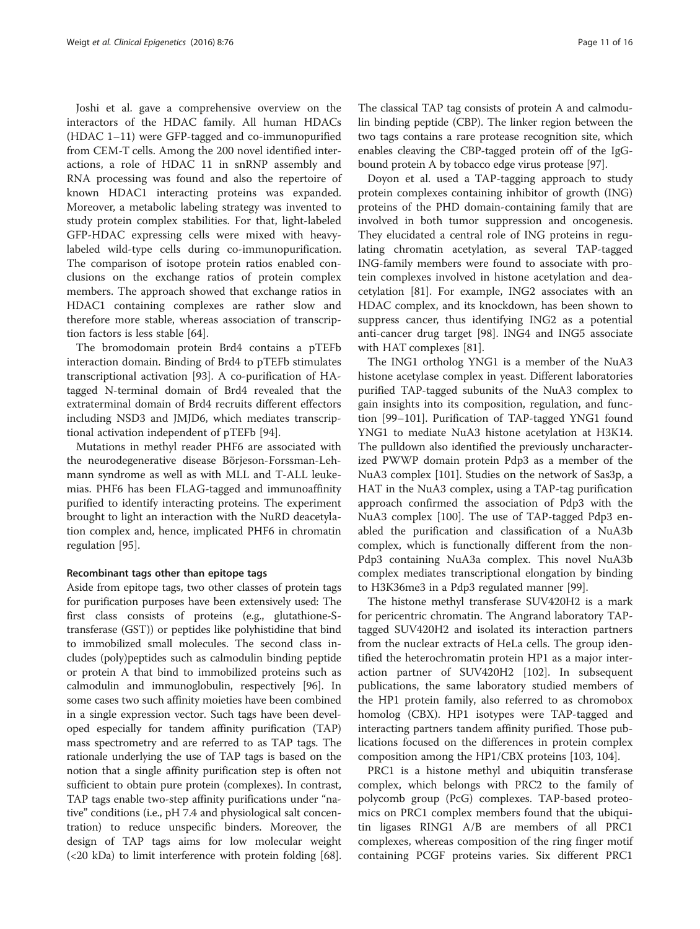Joshi et al. gave a comprehensive overview on the interactors of the HDAC family. All human HDACs (HDAC 1–11) were GFP-tagged and co-immunopurified from CEM-T cells. Among the 200 novel identified interactions, a role of HDAC 11 in snRNP assembly and RNA processing was found and also the repertoire of known HDAC1 interacting proteins was expanded. Moreover, a metabolic labeling strategy was invented to study protein complex stabilities. For that, light-labeled GFP-HDAC expressing cells were mixed with heavylabeled wild-type cells during co-immunopurification. The comparison of isotope protein ratios enabled conclusions on the exchange ratios of protein complex members. The approach showed that exchange ratios in HDAC1 containing complexes are rather slow and therefore more stable, whereas association of transcription factors is less stable [\[64](#page-14-0)].

The bromodomain protein Brd4 contains a pTEFb interaction domain. Binding of Brd4 to pTEFb stimulates transcriptional activation [[93](#page-14-0)]. A co-purification of HAtagged N-terminal domain of Brd4 revealed that the extraterminal domain of Brd4 recruits different effectors including NSD3 and JMJD6, which mediates transcriptional activation independent of pTEFb [[94\]](#page-14-0).

Mutations in methyl reader PHF6 are associated with the neurodegenerative disease Börjeson-Forssman-Lehmann syndrome as well as with MLL and T-ALL leukemias. PHF6 has been FLAG-tagged and immunoaffinity purified to identify interacting proteins. The experiment brought to light an interaction with the NuRD deacetylation complex and, hence, implicated PHF6 in chromatin regulation [\[95\]](#page-14-0).

#### Recombinant tags other than epitope tags

Aside from epitope tags, two other classes of protein tags for purification purposes have been extensively used: The first class consists of proteins (e.g., glutathione-Stransferase (GST)) or peptides like polyhistidine that bind to immobilized small molecules. The second class includes (poly)peptides such as calmodulin binding peptide or protein A that bind to immobilized proteins such as calmodulin and immunoglobulin, respectively [[96](#page-14-0)]. In some cases two such affinity moieties have been combined in a single expression vector. Such tags have been developed especially for tandem affinity purification (TAP) mass spectrometry and are referred to as TAP tags. The rationale underlying the use of TAP tags is based on the notion that a single affinity purification step is often not sufficient to obtain pure protein (complexes). In contrast, TAP tags enable two-step affinity purifications under "native" conditions (i.e., pH 7.4 and physiological salt concentration) to reduce unspecific binders. Moreover, the design of TAP tags aims for low molecular weight (<20 kDa) to limit interference with protein folding [[68](#page-14-0)].

The classical TAP tag consists of protein A and calmodulin binding peptide (CBP). The linker region between the two tags contains a rare protease recognition site, which enables cleaving the CBP-tagged protein off of the IgGbound protein A by tobacco edge virus protease [\[97\]](#page-14-0).

Doyon et al. used a TAP-tagging approach to study protein complexes containing inhibitor of growth (ING) proteins of the PHD domain-containing family that are involved in both tumor suppression and oncogenesis. They elucidated a central role of ING proteins in regulating chromatin acetylation, as several TAP-tagged ING-family members were found to associate with protein complexes involved in histone acetylation and deacetylation [[81](#page-14-0)]. For example, ING2 associates with an HDAC complex, and its knockdown, has been shown to suppress cancer, thus identifying ING2 as a potential anti-cancer drug target [\[98\]](#page-14-0). ING4 and ING5 associate with HAT complexes [\[81\]](#page-14-0).

The ING1 ortholog YNG1 is a member of the NuA3 histone acetylase complex in yeast. Different laboratories purified TAP-tagged subunits of the NuA3 complex to gain insights into its composition, regulation, and function [\[99](#page-14-0)–[101\]](#page-14-0). Purification of TAP-tagged YNG1 found YNG1 to mediate NuA3 histone acetylation at H3K14. The pulldown also identified the previously uncharacterized PWWP domain protein Pdp3 as a member of the NuA3 complex [\[101\]](#page-14-0). Studies on the network of Sas3p, a HAT in the NuA3 complex, using a TAP-tag purification approach confirmed the association of Pdp3 with the NuA3 complex [[100\]](#page-14-0). The use of TAP-tagged Pdp3 enabled the purification and classification of a NuA3b complex, which is functionally different from the non-Pdp3 containing NuA3a complex. This novel NuA3b complex mediates transcriptional elongation by binding to H3K36me3 in a Pdp3 regulated manner [[99](#page-14-0)].

The histone methyl transferase SUV420H2 is a mark for pericentric chromatin. The Angrand laboratory TAPtagged SUV420H2 and isolated its interaction partners from the nuclear extracts of HeLa cells. The group identified the heterochromatin protein HP1 as a major interaction partner of SUV420H2 [\[102](#page-14-0)]. In subsequent publications, the same laboratory studied members of the HP1 protein family, also referred to as chromobox homolog (CBX). HP1 isotypes were TAP-tagged and interacting partners tandem affinity purified. Those publications focused on the differences in protein complex composition among the HP1/CBX proteins [\[103,](#page-14-0) [104\]](#page-15-0).

PRC1 is a histone methyl and ubiquitin transferase complex, which belongs with PRC2 to the family of polycomb group (PcG) complexes. TAP-based proteomics on PRC1 complex members found that the ubiquitin ligases RING1 A/B are members of all PRC1 complexes, whereas composition of the ring finger motif containing PCGF proteins varies. Six different PRC1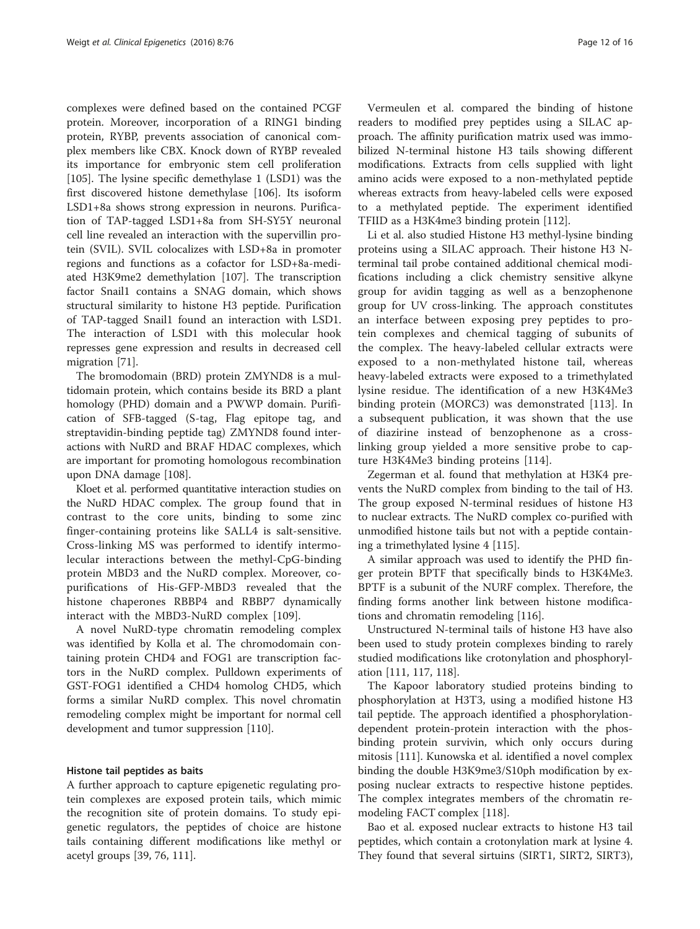complexes were defined based on the contained PCGF protein. Moreover, incorporation of a RING1 binding protein, RYBP, prevents association of canonical complex members like CBX. Knock down of RYBP revealed its importance for embryonic stem cell proliferation [[105\]](#page-15-0). The lysine specific demethylase 1 (LSD1) was the first discovered histone demethylase [[106\]](#page-15-0). Its isoform LSD1+8a shows strong expression in neurons. Purification of TAP-tagged LSD1+8a from SH-SY5Y neuronal cell line revealed an interaction with the supervillin protein (SVIL). SVIL colocalizes with LSD+8a in promoter regions and functions as a cofactor for LSD+8a-mediated H3K9me2 demethylation [[107](#page-15-0)]. The transcription factor Snail1 contains a SNAG domain, which shows structural similarity to histone H3 peptide. Purification of TAP-tagged Snail1 found an interaction with LSD1. The interaction of LSD1 with this molecular hook represses gene expression and results in decreased cell migration [[71](#page-14-0)].

The bromodomain (BRD) protein ZMYND8 is a multidomain protein, which contains beside its BRD a plant homology (PHD) domain and a PWWP domain. Purification of SFB-tagged (S-tag, Flag epitope tag, and streptavidin-binding peptide tag) ZMYND8 found interactions with NuRD and BRAF HDAC complexes, which are important for promoting homologous recombination upon DNA damage [[108](#page-15-0)].

Kloet et al. performed quantitative interaction studies on the NuRD HDAC complex. The group found that in contrast to the core units, binding to some zinc finger-containing proteins like SALL4 is salt-sensitive. Cross-linking MS was performed to identify intermolecular interactions between the methyl-CpG-binding protein MBD3 and the NuRD complex. Moreover, copurifications of His-GFP-MBD3 revealed that the histone chaperones RBBP4 and RBBP7 dynamically interact with the MBD3-NuRD complex [[109\]](#page-15-0).

A novel NuRD-type chromatin remodeling complex was identified by Kolla et al. The chromodomain containing protein CHD4 and FOG1 are transcription factors in the NuRD complex. Pulldown experiments of GST-FOG1 identified a CHD4 homolog CHD5, which forms a similar NuRD complex. This novel chromatin remodeling complex might be important for normal cell development and tumor suppression [\[110\]](#page-15-0).

#### Histone tail peptides as baits

A further approach to capture epigenetic regulating protein complexes are exposed protein tails, which mimic the recognition site of protein domains. To study epigenetic regulators, the peptides of choice are histone tails containing different modifications like methyl or acetyl groups [[39,](#page-13-0) [76,](#page-14-0) [111](#page-15-0)].

Vermeulen et al. compared the binding of histone readers to modified prey peptides using a SILAC approach. The affinity purification matrix used was immobilized N-terminal histone H3 tails showing different modifications. Extracts from cells supplied with light amino acids were exposed to a non-methylated peptide whereas extracts from heavy-labeled cells were exposed to a methylated peptide. The experiment identified TFIID as a H3K4me3 binding protein [[112](#page-15-0)].

Li et al. also studied Histone H3 methyl-lysine binding proteins using a SILAC approach. Their histone H3 Nterminal tail probe contained additional chemical modifications including a click chemistry sensitive alkyne group for avidin tagging as well as a benzophenone group for UV cross-linking. The approach constitutes an interface between exposing prey peptides to protein complexes and chemical tagging of subunits of the complex. The heavy-labeled cellular extracts were exposed to a non-methylated histone tail, whereas heavy-labeled extracts were exposed to a trimethylated lysine residue. The identification of a new H3K4Me3 binding protein (MORC3) was demonstrated [[113](#page-15-0)]. In a subsequent publication, it was shown that the use of diazirine instead of benzophenone as a crosslinking group yielded a more sensitive probe to capture H3K4Me3 binding proteins [\[114](#page-15-0)].

Zegerman et al. found that methylation at H3K4 prevents the NuRD complex from binding to the tail of H3. The group exposed N-terminal residues of histone H3 to nuclear extracts. The NuRD complex co-purified with unmodified histone tails but not with a peptide containing a trimethylated lysine 4 [\[115](#page-15-0)].

A similar approach was used to identify the PHD finger protein BPTF that specifically binds to H3K4Me3. BPTF is a subunit of the NURF complex. Therefore, the finding forms another link between histone modifications and chromatin remodeling [\[116\]](#page-15-0).

Unstructured N-terminal tails of histone H3 have also been used to study protein complexes binding to rarely studied modifications like crotonylation and phosphorylation [\[111](#page-15-0), [117](#page-15-0), [118\]](#page-15-0).

The Kapoor laboratory studied proteins binding to phosphorylation at H3T3, using a modified histone H3 tail peptide. The approach identified a phosphorylationdependent protein-protein interaction with the phosbinding protein survivin, which only occurs during mitosis [[111\]](#page-15-0). Kunowska et al. identified a novel complex binding the double H3K9me3/S10ph modification by exposing nuclear extracts to respective histone peptides. The complex integrates members of the chromatin remodeling FACT complex [[118](#page-15-0)].

Bao et al. exposed nuclear extracts to histone H3 tail peptides, which contain a crotonylation mark at lysine 4. They found that several sirtuins (SIRT1, SIRT2, SIRT3),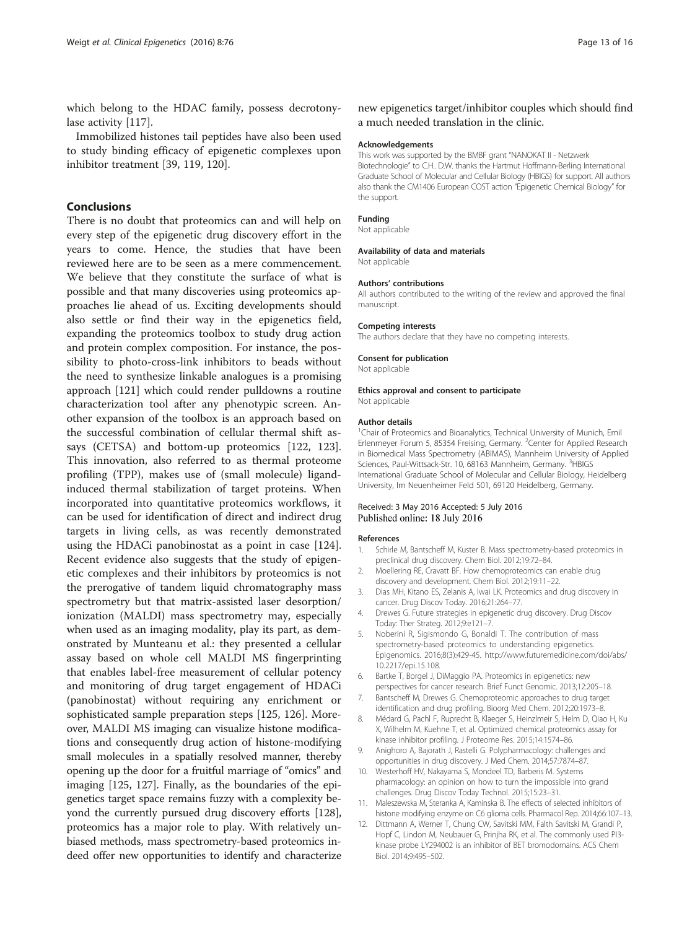<span id="page-12-0"></span>which belong to the HDAC family, possess decrotonylase activity [\[117\]](#page-15-0).

Immobilized histones tail peptides have also been used to study binding efficacy of epigenetic complexes upon inhibitor treatment [\[39](#page-13-0), [119, 120\]](#page-15-0).

# Conclusions

There is no doubt that proteomics can and will help on every step of the epigenetic drug discovery effort in the years to come. Hence, the studies that have been reviewed here are to be seen as a mere commencement. We believe that they constitute the surface of what is possible and that many discoveries using proteomics approaches lie ahead of us. Exciting developments should also settle or find their way in the epigenetics field, expanding the proteomics toolbox to study drug action and protein complex composition. For instance, the possibility to photo-cross-link inhibitors to beads without the need to synthesize linkable analogues is a promising approach [\[121\]](#page-15-0) which could render pulldowns a routine characterization tool after any phenotypic screen. Another expansion of the toolbox is an approach based on the successful combination of cellular thermal shift assays (CETSA) and bottom-up proteomics [[122](#page-15-0), [123](#page-15-0)]. This innovation, also referred to as thermal proteome profiling (TPP), makes use of (small molecule) ligandinduced thermal stabilization of target proteins. When incorporated into quantitative proteomics workflows, it can be used for identification of direct and indirect drug targets in living cells, as was recently demonstrated using the HDACi panobinostat as a point in case [\[124](#page-15-0)]. Recent evidence also suggests that the study of epigenetic complexes and their inhibitors by proteomics is not the prerogative of tandem liquid chromatography mass spectrometry but that matrix-assisted laser desorption/ ionization (MALDI) mass spectrometry may, especially when used as an imaging modality, play its part, as demonstrated by Munteanu et al.: they presented a cellular assay based on whole cell MALDI MS fingerprinting that enables label-free measurement of cellular potency and monitoring of drug target engagement of HDACi (panobinostat) without requiring any enrichment or sophisticated sample preparation steps [[125](#page-15-0), [126\]](#page-15-0). Moreover, MALDI MS imaging can visualize histone modifications and consequently drug action of histone-modifying small molecules in a spatially resolved manner, thereby opening up the door for a fruitful marriage of "omics" and imaging [\[125, 127](#page-15-0)]. Finally, as the boundaries of the epigenetics target space remains fuzzy with a complexity beyond the currently pursued drug discovery efforts [[128](#page-15-0)], proteomics has a major role to play. With relatively unbiased methods, mass spectrometry-based proteomics indeed offer new opportunities to identify and characterize

new epigenetics target/inhibitor couples which should find a much needed translation in the clinic.

#### Acknowledgements

This work was supported by the BMBF grant "NANOKAT II - Netzwerk Biotechnologie" to C.H.. D.W. thanks the Hartmut Hoffmann-Berling International Graduate School of Molecular and Cellular Biology (HBIGS) for support. All authors also thank the CM1406 European COST action "Epigenetic Chemical Biology" for the support.

#### Funding

Not applicable

#### Availability of data and materials

Not applicable

#### Authors' contributions

All authors contributed to the writing of the review and approved the final manuscript.

#### Competing interests

The authors declare that they have no competing interests.

#### Consent for publication

Not applicable

#### Ethics approval and consent to participate Not applicable

#### Author details

<sup>1</sup> Chair of Proteomics and Bioanalytics, Technical University of Munich, Emil Erlenmeyer Forum 5, 85354 Freising, Germany. <sup>2</sup>Center for Applied Research in Biomedical Mass Spectrometry (ABIMAS), Mannheim University of Applied Sciences, Paul-Wittsack-Str. 10, 68163 Mannheim, Germany. <sup>3</sup>HBIGS International Graduate School of Molecular and Cellular Biology, Heidelberg University, Im Neuenheimer Feld 501, 69120 Heidelberg, Germany.

#### Received: 3 May 2016 Accepted: 5 July 2016 Published online: 18 July 2016

# References

- 1. Schirle M, Bantscheff M, Kuster B. Mass spectrometry-based proteomics in preclinical drug discovery. Chem Biol. 2012;19:72–84.
- 2. Moellering RE, Cravatt BF. How chemoproteomics can enable drug discovery and development. Chem Biol. 2012;19:11–22.
- 3. Dias MH, Kitano ES, Zelanis A, Iwai LK. Proteomics and drug discovery in cancer. Drug Discov Today. 2016;21:264–77.
- 4. Drewes G. Future strategies in epigenetic drug discovery. Drug Discov Today: Ther Strateg. 2012;9:e121–7.
- 5. Noberini R, Sigismondo G, Bonaldi T. The contribution of mass spectrometry-based proteomics to understanding epigenetics. Epigenomics. 2016;8(3):429-45. [http://www.futuremedicine.com/doi/abs/](http://www.futuremedicine.com/doi/abs/10.2217/epi.15.108) [10.2217/epi.15.108.](http://www.futuremedicine.com/doi/abs/10.2217/epi.15.108)
- 6. Bartke T, Borgel J, DiMaggio PA. Proteomics in epigenetics: new perspectives for cancer research. Brief Funct Genomic. 2013;12:205–18.
- 7. Bantscheff M, Drewes G. Chemoproteomic approaches to drug target identification and drug profiling. Bioorg Med Chem. 2012;20:1973–8.
- 8. Médard G, Pachl F, Ruprecht B, Klaeger S, Heinzlmeir S, Helm D, Qiao H, Ku X, Wilhelm M, Kuehne T, et al. Optimized chemical proteomics assay for kinase inhibitor profiling. J Proteome Res. 2015;14:1574–86.
- 9. Anighoro A, Bajorath J, Rastelli G. Polypharmacology: challenges and opportunities in drug discovery. J Med Chem. 2014;57:7874–87.
- 10. Westerhoff HV, Nakayama S, Mondeel TD, Barberis M. Systems pharmacology: an opinion on how to turn the impossible into grand challenges. Drug Discov Today Technol. 2015;15:23–31.
- 11. Maleszewska M, Steranka A, Kaminska B. The effects of selected inhibitors of histone modifying enzyme on C6 glioma cells. Pharmacol Rep. 2014;66:107–13.
- 12. Dittmann A, Werner T, Chung CW, Savitski MM, Falth Savitski M, Grandi P, Hopf C, Lindon M, Neubauer G, Prinjha RK, et al. The commonly used PI3 kinase probe LY294002 is an inhibitor of BET bromodomains. ACS Chem Biol. 2014;9:495–502.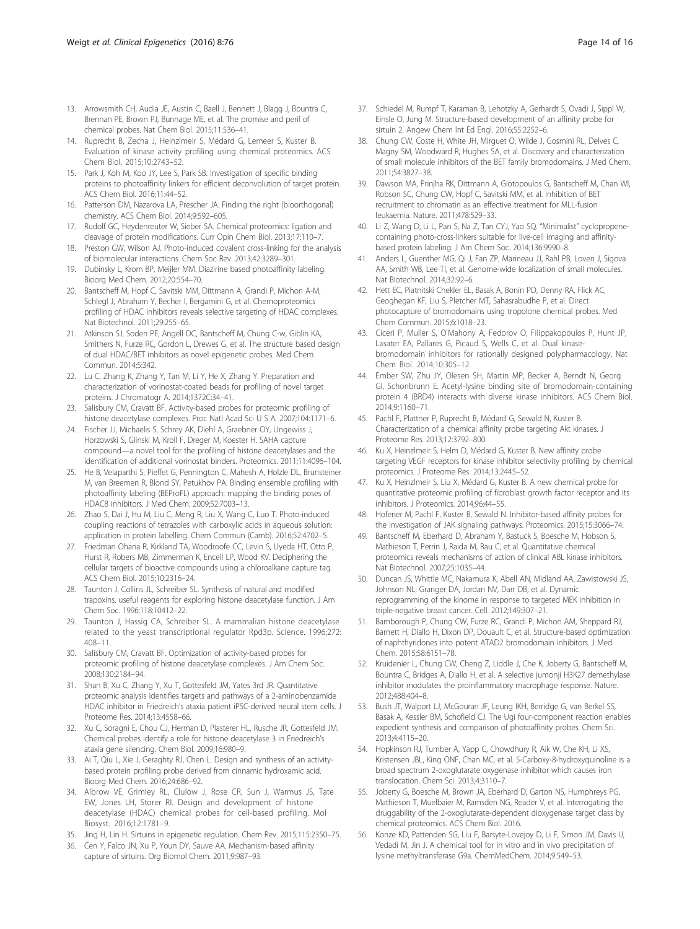- <span id="page-13-0"></span>13. Arrowsmith CH, Audia JE, Austin C, Baell J, Bennett J, Blagg J, Bountra C, Brennan PE, Brown PJ, Bunnage ME, et al. The promise and peril of chemical probes. Nat Chem Biol. 2015;11:536–41.
- 14. Ruprecht B, Zecha J, Heinzlmeir S, Médard G, Lemeer S, Kuster B. Evaluation of kinase activity profiling using chemical proteomics. ACS Chem Biol. 2015;10:2743–52.
- 15. Park J, Koh M, Koo JY, Lee S, Park SB. Investigation of specific binding proteins to photoaffinity linkers for efficient deconvolution of target protein. ACS Chem Biol. 2016;11:44–52.
- 16. Patterson DM, Nazarova LA, Prescher JA. Finding the right (bioorthogonal) chemistry. ACS Chem Biol. 2014;9:592–605.
- 17. Rudolf GC, Heydenreuter W, Sieber SA. Chemical proteomics: ligation and cleavage of protein modifications. Curr Opin Chem Biol. 2013;17:110–7.
- 18. Preston GW, Wilson AJ. Photo-induced covalent cross-linking for the analysis of biomolecular interactions. Chem Soc Rev. 2013;42:3289–301.
- 19. Dubinsky L, Krom BP, Meijler MM. Diazirine based photoaffinity labeling. Bioorg Med Chem. 2012;20:554–70.
- 20. Bantscheff M, Hopf C, Savitski MM, Dittmann A, Grandi P, Michon A-M, Schlegl J, Abraham Y, Becher I, Bergamini G, et al. Chemoproteomics profiling of HDAC inhibitors reveals selective targeting of HDAC complexes. Nat Biotechnol. 2011;29:255–65.
- 21. Atkinson SJ, Soden PE, Angell DC, Bantscheff M, Chung C-w, Giblin KA, Smithers N, Furze RC, Gordon L, Drewes G, et al. The structure based design of dual HDAC/BET inhibitors as novel epigenetic probes. Med Chem Commun. 2014;5:342.
- 22. Lu C, Zhang K, Zhang Y, Tan M, Li Y, He X, Zhang Y. Preparation and characterization of vorinostat-coated beads for profiling of novel target proteins. J Chromatogr A. 2014;1372C:34–41.
- 23. Salisbury CM, Cravatt BF. Activity-based probes for proteomic profiling of histone deacetylase complexes. Proc Natl Acad Sci U S A. 2007;104:1171–6.
- 24. Fischer JJ, Michaelis S, Schrey AK, Diehl A, Graebner OY, Ungewiss J, Horzowski S, Glinski M, Kroll F, Dreger M, Koester H. SAHA capture compound—a novel tool for the profiling of histone deacetylases and the identification of additional vorinostat binders. Proteomics. 2011;11:4096–104.
- 25. He B, Velaparthi S, Pieffet G, Pennington C, Mahesh A, Holzle DL, Brunsteiner M, van Breemen R, Blond SY, Petukhov PA. Binding ensemble profiling with photoaffinity labeling (BEProFL) approach: mapping the binding poses of HDAC8 inhibitors. J Med Chem. 2009;52:7003–13.
- 26. Zhao S, Dai J, Hu M, Liu C, Meng R, Liu X, Wang C, Luo T. Photo-induced coupling reactions of tetrazoles with carboxylic acids in aqueous solution: application in protein labelling. Chem Commun (Camb). 2016;52:4702–5.
- 27. Friedman Ohana R, Kirkland TA, Woodroofe CC, Levin S, Uyeda HT, Otto P, Hurst R, Robers MB, Zimmerman K, Encell LP, Wood KV. Deciphering the cellular targets of bioactive compounds using a chloroalkane capture tag. ACS Chem Biol. 2015;10:2316–24.
- 28. Taunton J, Collins JL, Schreiber SL. Synthesis of natural and modified trapoxins, useful reagents for exploring histone deacetylase function. J Am Chem Soc. 1996;118:10412–22.
- 29. Taunton J, Hassig CA, Schreiber SL. A mammalian histone deacetylase related to the yeast transcriptional regulator Rpd3p. Science. 1996;272: 408–11.
- 30. Salisbury CM, Cravatt BF. Optimization of activity-based probes for proteomic profiling of histone deacetylase complexes. J Am Chem Soc. 2008;130:2184–94.
- 31. Shan B, Xu C, Zhang Y, Xu T, Gottesfeld JM, Yates 3rd JR. Quantitative proteomic analysis identifies targets and pathways of a 2-aminobenzamide HDAC inhibitor in Friedreich's ataxia patient iPSC-derived neural stem cells. J Proteome Res. 2014;13:4558–66.
- 32. Xu C, Soragni E, Chou CJ, Herman D, Plasterer HL, Rusche JR, Gottesfeld JM. Chemical probes identify a role for histone deacetylase 3 in Friedreich's ataxia gene silencing. Chem Biol. 2009;16:980–9.
- 33. Ai T, Qiu L, Xie J, Geraghty RJ, Chen L. Design and synthesis of an activitybased protein profiling probe derived from cinnamic hydroxamic acid. Bioorg Med Chem. 2016;24:686–92.
- 34. Albrow VE, Grimley RL, Clulow J, Rose CR, Sun J, Warmus JS, Tate EW, Jones LH, Storer RI. Design and development of histone deacetylase (HDAC) chemical probes for cell-based profiling. Mol Biosyst. 2016;12:1781–9.
- 35. Jing H, Lin H. Sirtuins in epigenetic regulation. Chem Rev. 2015;115:2350–75.
- 36. Cen Y, Falco JN, Xu P, Youn DY, Sauve AA. Mechanism-based affinity capture of sirtuins. Org Biomol Chem. 2011;9:987–93.
- 37. Schiedel M, Rumpf T, Karaman B, Lehotzky A, Gerhardt S, Ovadi J, Sippl W, Einsle O, Jung M. Structure-based development of an affinity probe for sirtuin 2. Angew Chem Int Ed Engl. 2016;55:2252–6.
- 38. Chung CW, Coste H, White JH, Mirguet O, Wilde J, Gosmini RL, Delves C, Magny SM, Woodward R, Hughes SA, et al. Discovery and characterization of small molecule inhibitors of the BET family bromodomains. J Med Chem. 2011;54:3827–38.
- 39. Dawson MA, Prinjha RK, Dittmann A, Giotopoulos G, Bantscheff M, Chan WI, Robson SC, Chung CW, Hopf C, Savitski MM, et al. Inhibition of BET recruitment to chromatin as an effective treatment for MLL-fusion leukaemia. Nature. 2011;478:529–33.
- 40. Li Z, Wang D, Li L, Pan S, Na Z, Tan CYJ, Yao SQ. "Minimalist" cyclopropenecontaining photo-cross-linkers suitable for live-cell imaging and affinitybased protein labeling. J Am Chem Soc. 2014;136:9990–8.
- 41. Anders L, Guenther MG, Qi J, Fan ZP, Marineau JJ, Rahl PB, Loven J, Sigova AA, Smith WB, Lee TI, et al. Genome-wide localization of small molecules. Nat Biotechnol. 2014;32:92–6.
- 42. Hett EC, Piatnitski Chekler EL, Basak A, Bonin PD, Denny RA, Flick AC, Geoghegan KF, Liu S, Pletcher MT, Sahasrabudhe P, et al. Direct photocapture of bromodomains using tropolone chemical probes. Med Chem Commun. 2015;6:1018–23.
- 43. Ciceri P, Muller S, O'Mahony A, Fedorov O, Filippakopoulos P, Hunt JP, Lasater EA, Pallares G, Picaud S, Wells C, et al. Dual kinasebromodomain inhibitors for rationally designed polypharmacology. Nat Chem Biol. 2014;10:305–12.
- 44. Ember SW, Zhu JY, Olesen SH, Martin MP, Becker A, Berndt N, Georg GI, Schonbrunn E. Acetyl-lysine binding site of bromodomain-containing protein 4 (BRD4) interacts with diverse kinase inhibitors. ACS Chem Biol. 2014;9:1160–71.
- 45. Pachl F, Plattner P, Ruprecht B, Médard G, Sewald N, Kuster B. Characterization of a chemical affinity probe targeting Akt kinases. J Proteome Res. 2013;12:3792–800.
- 46. Ku X, Heinzlmeir S, Helm D, Médard G, Kuster B. New affinity probe targeting VEGF receptors for kinase inhibitor selectivity profiling by chemical proteomics. J Proteome Res. 2014;13:2445–52.
- 47. Ku X, Heinzlmeir S, Liu X, Médard G, Kuster B. A new chemical probe for quantitative proteomic profiling of fibroblast growth factor receptor and its inhibitors. J Proteomics. 2014;96:44–55.
- 48. Hofener M, Pachl F, Kuster B, Sewald N. Inhibitor-based affinity probes for the investigation of JAK signaling pathways. Proteomics. 2015;15:3066–74.
- 49. Bantscheff M, Eberhard D, Abraham Y, Bastuck S, Boesche M, Hobson S, Mathieson T, Perrin J, Raida M, Rau C, et al. Quantitative chemical proteomics reveals mechanisms of action of clinical ABL kinase inhibitors. Nat Biotechnol. 2007;25:1035–44.
- 50. Duncan JS, Whittle MC, Nakamura K, Abell AN, Midland AA, Zawistowski JS, Johnson NL, Granger DA, Jordan NV, Darr DB, et al. Dynamic reprogramming of the kinome in response to targeted MEK inhibition in triple-negative breast cancer. Cell. 2012;149:307–21.
- 51. Bamborough P, Chung CW, Furze RC, Grandi P, Michon AM, Sheppard RJ, Barnett H, Diallo H, Dixon DP, Douault C, et al. Structure-based optimization of naphthyridones into potent ATAD2 bromodomain inhibitors. J Med Chem. 2015;58:6151–78.
- 52. Kruidenier L, Chung CW, Cheng Z, Liddle J, Che K, Joberty G, Bantscheff M, Bountra C, Bridges A, Diallo H, et al. A selective jumonji H3K27 demethylase inhibitor modulates the proinflammatory macrophage response. Nature. 2012;488:404–8.
- 53. Bush JT, Walport LJ, McGouran JF, Leung IKH, Berridge G, van Berkel SS, Basak A, Kessler BM, Schofield CJ. The Ugi four-component reaction enables expedient synthesis and comparison of photoaffinity probes. Chem Sci. 2013;4:4115–20.
- 54. Hopkinson RJ, Tumber A, Yapp C, Chowdhury R, Aik W, Che KH, Li XS, Kristensen JBL, King ONF, Chan MC, et al. 5-Carboxy-8-hydroxyquinoline is a broad spectrum 2-oxoglutarate oxygenase inhibitor which causes iron translocation. Chem Sci. 2013;4:3110–7.
- 55. Joberty G, Boesche M, Brown JA, Eberhard D, Garton NS, Humphreys PG, Mathieson T, Muelbaier M, Ramsden NG, Reader V, et al. Interrogating the druggability of the 2-oxoglutarate-dependent dioxygenase target class by chemical proteomics. ACS Chem Biol. 2016.
- 56. Konze KD, Pattenden SG, Liu F, Barsyte-Lovejoy D, Li F, Simon JM, Davis IJ, Vedadi M, Jin J. A chemical tool for in vitro and in vivo precipitation of lysine methyltransferase G9a. ChemMedChem. 2014;9:549–53.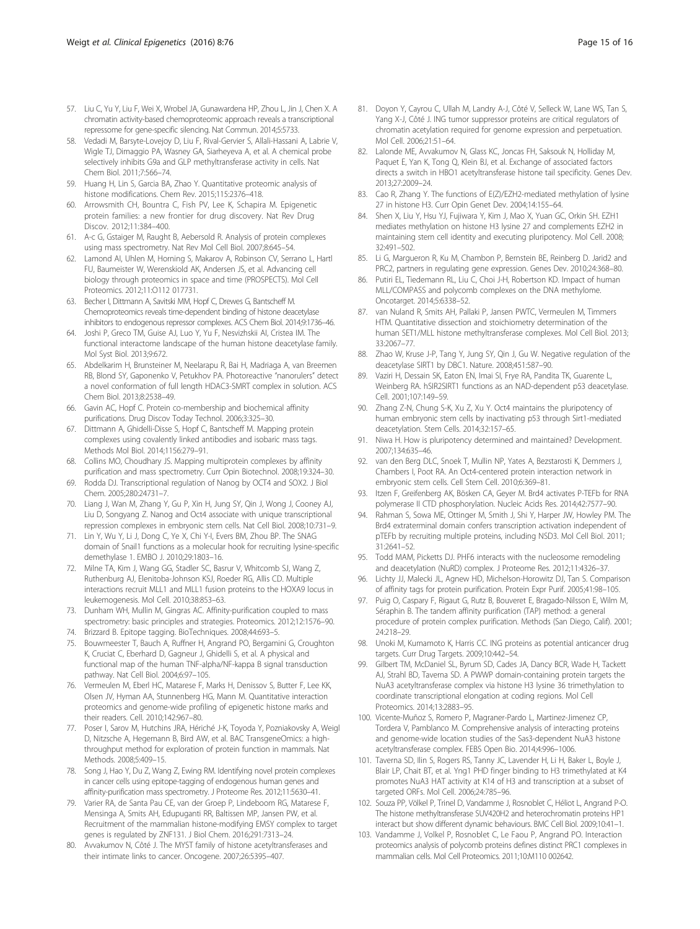- <span id="page-14-0"></span>57. Liu C, Yu Y, Liu F, Wei X, Wrobel JA, Gunawardena HP, Zhou L, Jin J, Chen X. A chromatin activity-based chemoproteomic approach reveals a transcriptional repressome for gene-specific silencing. Nat Commun. 2014;5:5733.
- 58. Vedadi M, Barsyte-Lovejoy D, Liu F, Rival-Gervier S, Allali-Hassani A, Labrie V, Wigle TJ, Dimaggio PA, Wasney GA, Siarheyeva A, et al. A chemical probe selectively inhibits G9a and GLP methyltransferase activity in cells. Nat Chem Biol. 2011;7:566–74.
- 59. Huang H, Lin S, Garcia BA, Zhao Y. Quantitative proteomic analysis of histone modifications. Chem Rev. 2015;115:2376–418.
- 60. Arrowsmith CH, Bountra C, Fish PV, Lee K, Schapira M. Epigenetic protein families: a new frontier for drug discovery. Nat Rev Drug Discov. 2012;11:384–400.
- 61. A-c G, Gstaiger M, Raught B, Aebersold R. Analysis of protein complexes using mass spectrometry. Nat Rev Mol Cell Biol. 2007;8:645–54.
- 62. Lamond AI, Uhlen M, Horning S, Makarov A, Robinson CV, Serrano L, Hartl FU, Baumeister W, Werenskiold AK, Andersen JS, et al. Advancing cell biology through proteomics in space and time (PROSPECTS). Mol Cell Proteomics. 2012;11:O112 017731.
- 63. Becher I, Dittmann A, Savitski MM, Hopf C, Drewes G, Bantscheff M. Chemoproteomics reveals time-dependent binding of histone deacetylase inhibitors to endogenous repressor complexes. ACS Chem Biol. 2014;9:1736–46.
- 64. Joshi P, Greco TM, Guise AJ, Luo Y, Yu F, Nesvizhskii AI, Cristea IM. The functional interactome landscape of the human histone deacetylase family. Mol Syst Biol. 2013;9:672.
- 65. Abdelkarim H, Brunsteiner M, Neelarapu R, Bai H, Madriaga A, van Breemen RB, Blond SY, Gaponenko V, Petukhov PA. Photoreactive "nanorulers" detect a novel conformation of full length HDAC3-SMRT complex in solution. ACS Chem Biol. 2013;8:2538–49.
- 66. Gavin AC, Hopf C. Protein co-membership and biochemical affinity purifications. Drug Discov Today Technol. 2006;3:325–30.
- 67. Dittmann A, Ghidelli-Disse S, Hopf C, Bantscheff M. Mapping protein complexes using covalently linked antibodies and isobaric mass tags. Methods Mol Biol. 2014;1156:279–91.
- 68. Collins MO, Choudhary JS. Mapping multiprotein complexes by affinity purification and mass spectrometry. Curr Opin Biotechnol. 2008;19:324–30.
- 69. Rodda DJ. Transcriptional regulation of Nanog by OCT4 and SOX2. J Biol Chem. 2005;280:24731–7.
- 70. Liang J, Wan M, Zhang Y, Gu P, Xin H, Jung SY, Qin J, Wong J, Cooney AJ, Liu D, Songyang Z. Nanog and Oct4 associate with unique transcriptional repression complexes in embryonic stem cells. Nat Cell Biol. 2008;10:731–9.
- 71. Lin Y, Wu Y, Li J, Dong C, Ye X, Chi Y-I, Evers BM, Zhou BP. The SNAG domain of Snail1 functions as a molecular hook for recruiting lysine-specific demethylase 1. EMBO J. 2010;29:1803–16.
- 72. Milne TA, Kim J, Wang GG, Stadler SC, Basrur V, Whitcomb SJ, Wang Z, Ruthenburg AJ, Elenitoba-Johnson KSJ, Roeder RG, Allis CD. Multiple interactions recruit MLL1 and MLL1 fusion proteins to the HOXA9 locus in leukemogenesis. Mol Cell. 2010;38:853–63.
- 73. Dunham WH, Mullin M, Gingras AC. Affinity-purification coupled to mass spectrometry: basic principles and strategies. Proteomics. 2012;12:1576–90.
- 74. Brizzard B. Epitope tagging. BioTechniques. 2008;44:693–5.
- 75. Bouwmeester T, Bauch A, Ruffner H, Angrand PO, Bergamini G, Croughton K, Cruciat C, Eberhard D, Gagneur J, Ghidelli S, et al. A physical and functional map of the human TNF-alpha/NF-kappa B signal transduction pathway. Nat Cell Biol. 2004;6:97–105.
- 76. Vermeulen M, Eberl HC, Matarese F, Marks H, Denissov S, Butter F, Lee KK, Olsen JV, Hyman AA, Stunnenberg HG, Mann M. Quantitative interaction proteomics and genome-wide profiling of epigenetic histone marks and their readers. Cell. 2010;142:967–80.
- 77. Poser I, Sarov M, Hutchins JRA, Hériché J-K, Toyoda Y, Pozniakovsky A, Weigl D, Nitzsche A, Hegemann B, Bird AW, et al. BAC TransgeneOmics: a highthroughput method for exploration of protein function in mammals. Nat Methods. 2008;5:409–15.
- 78. Song J, Hao Y, Du Z, Wang Z, Ewing RM. Identifying novel protein complexes in cancer cells using epitope-tagging of endogenous human genes and affinity-purification mass spectrometry. J Proteome Res. 2012;11:5630–41.
- 79. Varier RA, de Santa Pau CE, van der Groep P, Lindeboom RG, Matarese F, Mensinga A, Smits AH, Edupuganti RR, Baltissen MP, Jansen PW, et al. Recruitment of the mammalian histone-modifying EMSY complex to target genes is regulated by ZNF131. J Biol Chem. 2016;291:7313–24.
- 80. Avvakumov N, Côté J. The MYST family of histone acetyltransferases and their intimate links to cancer. Oncogene. 2007;26:5395–407.
- 81. Doyon Y, Cayrou C, Ullah M, Landry A-J, Côté V, Selleck W, Lane WS, Tan S, Yang X-J, Côté J. ING tumor suppressor proteins are critical regulators of chromatin acetylation required for genome expression and perpetuation. Mol Cell. 2006;21:51–64.
- 82. Lalonde ME, Avvakumov N, Glass KC, Joncas FH, Saksouk N, Holliday M, Paquet E, Yan K, Tong Q, Klein BJ, et al. Exchange of associated factors directs a switch in HBO1 acetyltransferase histone tail specificity. Genes Dev. 2013;27:2009–24.
- 83. Cao R, Zhang Y. The functions of E(Z)/EZH2-mediated methylation of lysine 27 in histone H3. Curr Opin Genet Dev. 2004;14:155–64.
- 84. Shen X, Liu Y, Hsu YJ, Fujiwara Y, Kim J, Mao X, Yuan GC, Orkin SH. EZH1 mediates methylation on histone H3 lysine 27 and complements EZH2 in maintaining stem cell identity and executing pluripotency. Mol Cell. 2008; 32:491–502.
- 85. Li G, Margueron R, Ku M, Chambon P, Bernstein BE, Reinberg D. Jarid2 and PRC2, partners in regulating gene expression. Genes Dev. 2010;24:368–80.
- 86. Putiri EL, Tiedemann RL, Liu C, Choi J-H, Robertson KD. Impact of human MLL/COMPASS and polycomb complexes on the DNA methylome. Oncotarget. 2014;5:6338–52.
- 87. van Nuland R, Smits AH, Pallaki P, Jansen PWTC, Vermeulen M, Timmers HTM. Quantitative dissection and stoichiometry determination of the human SET1/MLL histone methyltransferase complexes. Mol Cell Biol. 2013; 33:2067–77.
- 88. Zhao W, Kruse J-P, Tang Y, Jung SY, Qin J, Gu W. Negative regulation of the deacetylase SIRT1 by DBC1. Nature. 2008;451:587–90.
- 89. Vaziri H, Dessain SK, Eaton EN, Imai SI, Frye RA, Pandita TK, Guarente L, Weinberg RA. hSIR2SIRT1 functions as an NAD-dependent p53 deacetylase. Cell. 2001;107:149–59.
- Zhang Z-N, Chung S-K, Xu Z, Xu Y. Oct4 maintains the pluripotency of human embryonic stem cells by inactivating p53 through Sirt1-mediated deacetylation. Stem Cells. 2014;32:157–65.
- 91. Niwa H. How is pluripotency determined and maintained? Development. 2007;134:635–46.
- 92. van den Berg DLC, Snoek T, Mullin NP, Yates A, Bezstarosti K, Demmers J, Chambers I, Poot RA. An Oct4-centered protein interaction network in embryonic stem cells. Cell Stem Cell. 2010;6:369–81.
- 93. Itzen F, Greifenberg AK, Bösken CA, Geyer M. Brd4 activates P-TEFb for RNA polymerase II CTD phosphorylation. Nucleic Acids Res. 2014;42:7577–90.
- 94. Rahman S, Sowa ME, Ottinger M, Smith J, Shi Y, Harper JW, Howley PM. The Brd4 extraterminal domain confers transcription activation independent of pTEFb by recruiting multiple proteins, including NSD3. Mol Cell Biol. 2011; 31:2641–52.
- 95. Todd MAM, Picketts DJ. PHF6 interacts with the nucleosome remodeling and deacetylation (NuRD) complex. J Proteome Res. 2012;11:4326–37.
- 96. Lichty JJ, Malecki JL, Agnew HD, Michelson-Horowitz DJ, Tan S. Comparison of affinity tags for protein purification. Protein Expr Purif. 2005;41:98–105.
- 97. Puig O, Caspary F, Rigaut G, Rutz B, Bouveret E, Bragado-Nilsson E, Wilm M, Séraphin B. The tandem affinity purification (TAP) method: a general procedure of protein complex purification. Methods (San Diego, Calif). 2001; 24:218–29.
- 98. Unoki M, Kumamoto K, Harris CC. ING proteins as potential anticancer drug targets. Curr Drug Targets. 2009;10:442–54.
- 99. Gilbert TM, McDaniel SL, Byrum SD, Cades JA, Dancy BCR, Wade H, Tackett AJ, Strahl BD, Taverna SD. A PWWP domain-containing protein targets the NuA3 acetyltransferase complex via histone H3 lysine 36 trimethylation to coordinate transcriptional elongation at coding regions. Mol Cell Proteomics. 2014;13:2883–95.
- 100. Vicente-Muñoz S, Romero P, Magraner-Pardo L, Martinez-Jimenez CP, Tordera V, Pamblanco M. Comprehensive analysis of interacting proteins and genome-wide location studies of the Sas3-dependent NuA3 histone acetyltransferase complex. FEBS Open Bio. 2014;4:996–1006.
- 101. Taverna SD, Ilin S, Rogers RS, Tanny JC, Lavender H, Li H, Baker L, Boyle J, Blair LP, Chait BT, et al. Yng1 PHD finger binding to H3 trimethylated at K4 promotes NuA3 HAT activity at K14 of H3 and transcription at a subset of targeted ORFs. Mol Cell. 2006;24:785–96.
- 102. Souza PP, Völkel P, Trinel D, Vandamme J, Rosnoblet C, Héliot L, Angrand P-O. The histone methyltransferase SUV420H2 and heterochromatin proteins HP1 interact but show different dynamic behaviours. BMC Cell Biol. 2009;10:41–1.
- 103. Vandamme J, Volkel P, Rosnoblet C, Le Faou P, Angrand PO. Interaction proteomics analysis of polycomb proteins defines distinct PRC1 complexes in mammalian cells. Mol Cell Proteomics. 2011;10:M110 002642.